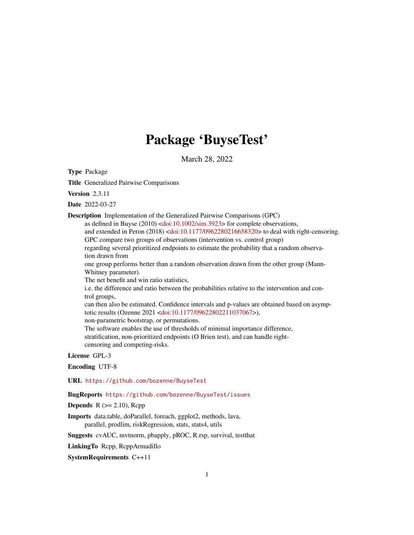# Package 'BuyseTest'

March 28, 2022

Type Package

Title Generalized Pairwise Comparisons

Version 2.3.11

Date 2022-03-27

Description Implementation of the Generalized Pairwise Comparisons (GPC)

as defined in Buyse (2010) [<doi:10.1002/sim.3923>](https://doi.org/10.1002/sim.3923) for complete observations,

and extended in Peron (2018) [<doi:10.1177/0962280216658320>](https://doi.org/10.1177/0962280216658320) to deal with right-censoring. GPC compare two groups of observations (intervention vs. control group)

regarding several prioritized endpoints to estimate the probability that a random observation drawn from

one group performs better than a random observation drawn from the other group (Mann-Whitney parameter).

The net benefit and win ratio statistics,

i.e. the difference and ratio between the probabilities relative to the intervention and control groups,

can then also be estimated. Confidence intervals and p-values are obtained based on asymptotic results (Ozenne 2021 [<doi:10.1177/09622802211037067>](https://doi.org/10.1177/09622802211037067)),

non-parametric bootstrap, or permutations.

The software enables the use of thresholds of minimal importance difference, stratification, non-prioritized endpoints (O Brien test), and can handle rightcensoring and competing-risks.

License GPL-3

Encoding UTF-8

URL <https://github.com/bozenne/BuyseTest>

BugReports <https://github.com/bozenne/BuyseTest/issues>

**Depends**  $R$  ( $>= 2.10$ ), Rcpp

Imports data.table, doParallel, foreach, ggplot2, methods, lava, parallel, prodlim, riskRegression, stats, stats4, utils

Suggests cvAUC, mvtnorm, pbapply, pROC, R.rsp, survival, testthat

LinkingTo Rcpp, RcppArmadillo

SystemRequirements C++11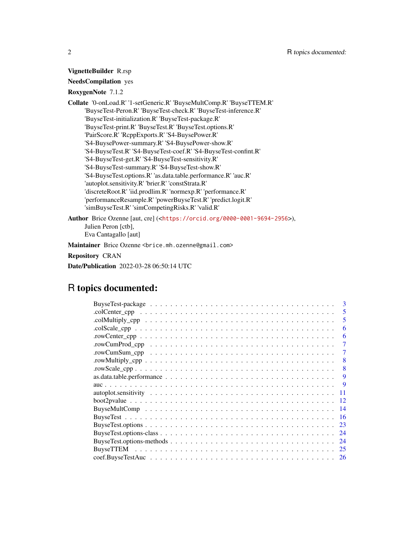### VignetteBuilder R.rsp

### NeedsCompilation yes

### RoxygenNote 7.1.2

Collate '0-onLoad.R' '1-setGeneric.R' 'BuyseMultComp.R' 'BuyseTTEM.R' 'BuyseTest-Peron.R' 'BuyseTest-check.R' 'BuyseTest-inference.R' 'BuyseTest-initialization.R' 'BuyseTest-package.R' 'BuyseTest-print.R' 'BuyseTest.R' 'BuyseTest.options.R' 'PairScore.R' 'RcppExports.R' 'S4-BuysePower.R' 'S4-BuysePower-summary.R' 'S4-BuysePower-show.R' 'S4-BuyseTest.R' 'S4-BuyseTest-coef.R' 'S4-BuyseTest-confint.R' 'S4-BuyseTest-get.R' 'S4-BuyseTest-sensitivity.R' 'S4-BuyseTest-summary.R' 'S4-BuyseTest-show.R' 'S4-BuyseTest.options.R' 'as.data.table.performance.R' 'auc.R' 'autoplot.sensitivity.R' 'brier.R' 'constStrata.R' 'discreteRoot.R' 'iid.prodlim.R' 'normexp.R' 'performance.R' 'performanceResample.R' 'powerBuyseTest.R' 'predict.logit.R' 'simBuyseTest.R' 'simCompetingRisks.R' 'valid.R'

Author Brice Ozenne [aut, cre] (<<https://orcid.org/0000-0001-9694-2956>>), Julien Peron [ctb], Eva Cantagallo [aut]

Maintainer Brice Ozenne <brice.mh.ozenne@gmail.com>

Repository CRAN

Date/Publication 2022-03-28 06:50:14 UTC

## R topics documented:

| 3   |
|-----|
| 5   |
| 5   |
| 6   |
| 6   |
| 7   |
| 7   |
| 8   |
| 8   |
| 9   |
| -9  |
| 11  |
| 12  |
| -14 |
| -16 |
| 23  |
| 24  |
| 24  |
|     |
|     |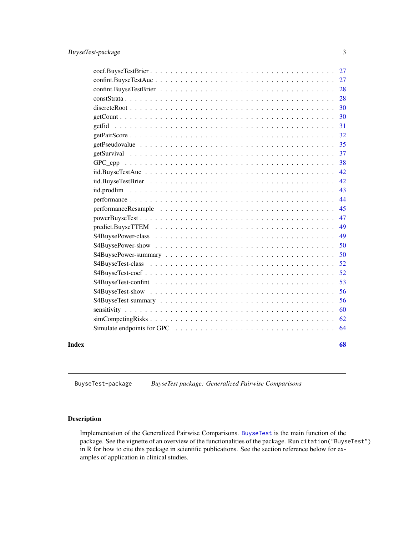<span id="page-2-0"></span>

|       |                                                                                                                      | 27 |
|-------|----------------------------------------------------------------------------------------------------------------------|----|
|       |                                                                                                                      | 28 |
|       |                                                                                                                      | 28 |
|       | $discreteRoot \dots \dots \dots \dots \dots \dots \dots \dots \dots \dots \dots \dots \dots \dots \dots \dots \dots$ | 30 |
|       |                                                                                                                      | 30 |
|       | getIid                                                                                                               | 31 |
|       |                                                                                                                      | 32 |
|       |                                                                                                                      | 35 |
|       |                                                                                                                      | 37 |
|       |                                                                                                                      | 38 |
|       |                                                                                                                      | 42 |
|       |                                                                                                                      | 42 |
|       |                                                                                                                      | 43 |
|       |                                                                                                                      | 44 |
|       |                                                                                                                      | 45 |
|       |                                                                                                                      | 47 |
|       |                                                                                                                      | 49 |
|       |                                                                                                                      | 49 |
|       |                                                                                                                      | 50 |
|       |                                                                                                                      | 50 |
|       |                                                                                                                      | 52 |
|       |                                                                                                                      | 52 |
|       |                                                                                                                      | 53 |
|       |                                                                                                                      | 56 |
|       |                                                                                                                      | 56 |
|       |                                                                                                                      | 60 |
|       |                                                                                                                      | 62 |
|       |                                                                                                                      | 64 |
| Index |                                                                                                                      | 68 |

BuyseTest-package *BuyseTest package: Generalized Pairwise Comparisons*

### Description

Implementation of the Generalized Pairwise Comparisons. [BuyseTest](#page-15-1) is the main function of the package. See the vignette of an overview of the functionalities of the package. Run citation("BuyseTest") in R for how to cite this package in scientific publications. See the section reference below for examples of application in clinical studies.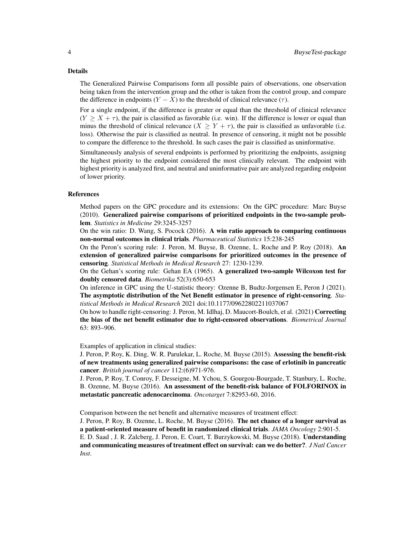#### Details

The Generalized Pairwise Comparisons form all possible pairs of observations, one observation being taken from the intervention group and the other is taken from the control group, and compare the difference in endpoints  $(Y - X)$  to the threshold of clinical relevance  $(\tau)$ .

For a single endpoint, if the difference is greater or equal than the threshold of clinical relevance  $(Y \geq X + \tau)$ , the pair is classified as favorable (i.e. win). If the difference is lower or equal than minus the threshold of clinical relevance  $(X \ge Y + \tau)$ , the pair is classified as unfavorable (i.e. loss). Otherwise the pair is classified as neutral. In presence of censoring, it might not be possible to compare the difference to the threshold. In such cases the pair is classified as uninformative.

Simultaneously analysis of several endpoints is performed by prioritizing the endpoints, assigning the highest priority to the endpoint considered the most clinically relevant. The endpoint with highest priority is analyzed first, and neutral and uninformative pair are analyzed regarding endpoint of lower priority.

#### References

Method papers on the GPC procedure and its extensions: On the GPC procedure: Marc Buyse (2010). Generalized pairwise comparisons of prioritized endpoints in the two-sample problem. *Statistics in Medicine* 29:3245-3257

On the win ratio: D. Wang, S. Pocock (2016). A win ratio approach to comparing continuous non-normal outcomes in clinical trials. *Pharmaceutical Statistics* 15:238-245

On the Peron's scoring rule: J. Peron, M. Buyse, B. Ozenne, L. Roche and P. Roy (2018). An extension of generalized pairwise comparisons for prioritized outcomes in the presence of censoring. *Statistical Methods in Medical Research* 27: 1230-1239.

On the Gehan's scoring rule: Gehan EA (1965). A generalized two-sample Wilcoxon test for doubly censored data. *Biometrika* 52(3):650-653

On inference in GPC using the U-statistic theory: Ozenne B, Budtz-Jorgensen E, Peron J (2021). The asymptotic distribution of the Net Benefit estimator in presence of right-censoring. *Statistical Methods in Medical Research* 2021 doi:10.1177/09622802211037067

On how to handle right-censoring: J. Peron, M. Idlhaj, D. Maucort-Boulch, et al. (2021) Correcting the bias of the net benefit estimator due to right-censored observations. *Biometrical Journal* 63: 893–906.

Examples of application in clinical studies:

J. Peron, P. Roy, K. Ding, W. R. Parulekar, L. Roche, M. Buyse (2015). Assessing the benefit-risk of new treatments using generalized pairwise comparisons: the case of erlotinib in pancreatic cancer. *British journal of cancer* 112:(6)971-976.

J. Peron, P. Roy, T. Conroy, F. Desseigne, M. Ychou, S. Gourgou-Bourgade, T. Stanbury, L. Roche, B. Ozenne, M. Buyse (2016). An assessment of the benefit-risk balance of FOLFORINOX in metastatic pancreatic adenocarcinoma. *Oncotarget* 7:82953-60, 2016.

Comparison between the net benefit and alternative measures of treatment effect:

J. Peron, P. Roy, B. Ozenne, L. Roche, M. Buyse (2016). The net chance of a longer survival as a patient-oriented measure of benefit in randomized clinical trials. *JAMA Oncology* 2:901-5.

E. D. Saad , J. R. Zalcberg, J. Peron, E. Coart, T. Burzykowski, M. Buyse (2018). Understanding and communicating measures of treatment effect on survival: can we do better?. *J Natl Cancer Inst*.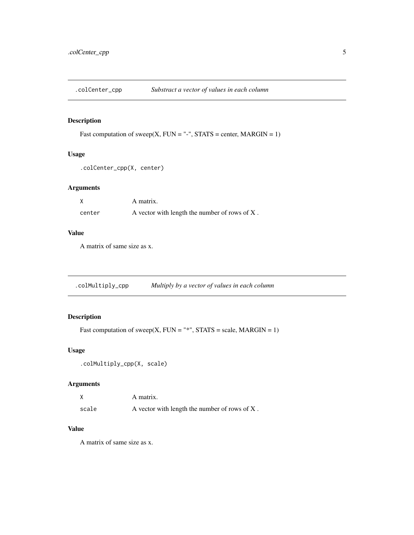<span id="page-4-0"></span>.colCenter\_cpp *Substract a vector of values in each column*

### Description

Fast computation of sweep(X, FUN = "-", STATS = center, MARGIN = 1)

### Usage

```
.colCenter_cpp(X, center)
```
### Arguments

|        | A matrix.                                        |
|--------|--------------------------------------------------|
| center | A vector with length the number of rows of $X$ . |

### Value

A matrix of same size as x.

.colMultiply\_cpp *Multiply by a vector of values in each column*

### Description

Fast computation of sweep(X, FUN = "\*", STATS = scale, MARGIN = 1)

#### Usage

```
.colMultiply_cpp(X, scale)
```
### Arguments

|       | A matrix.                                        |
|-------|--------------------------------------------------|
| scale | A vector with length the number of rows of $X$ . |

### Value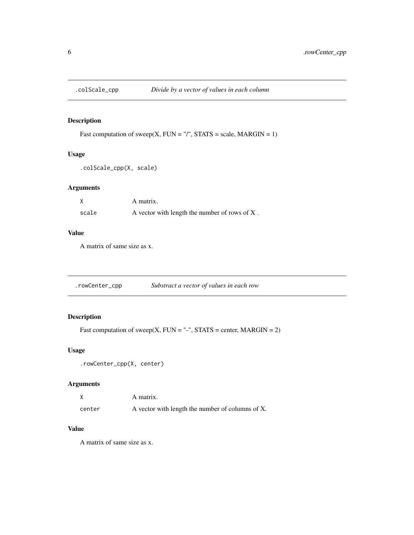<span id="page-5-0"></span>

### Description

Fast computation of sweep(X, FUN = "/", STATS = scale, MARGIN = 1)

### Usage

```
.colScale_cpp(X, scale)
```
### Arguments

|       | A matrix.                                        |
|-------|--------------------------------------------------|
| scale | A vector with length the number of rows of $X$ . |

### Value

A matrix of same size as x.

.rowCenter\_cpp *Substract a vector of values in each row*

### Description

Fast computation of sweep(X, FUN = "-", STATS = center, MARGIN =  $2$ )

#### Usage

```
.rowCenter_cpp(X, center)
```
### Arguments

|        | A matrix.                                        |
|--------|--------------------------------------------------|
| center | A vector with length the number of columns of X. |

### Value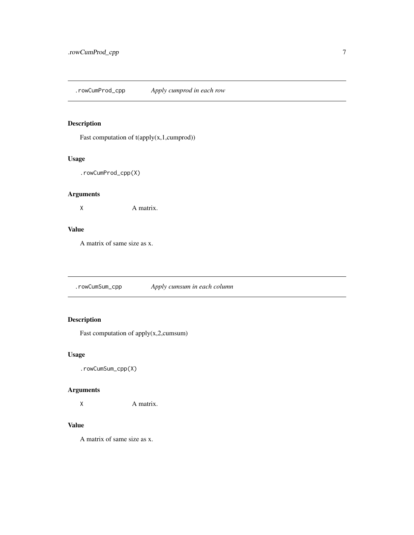<span id="page-6-0"></span>.rowCumProd\_cpp *Apply cumprod in each row*

### Description

Fast computation of  $t$ (apply(x,1,cumprod))

### Usage

.rowCumProd\_cpp(X)

### Arguments

X A matrix.

### Value

A matrix of same size as x.

.rowCumSum\_cpp *Apply cumsum in each column*

### Description

Fast computation of apply(x,2,cumsum)

### Usage

.rowCumSum\_cpp(X)

### Arguments

X A matrix.

### Value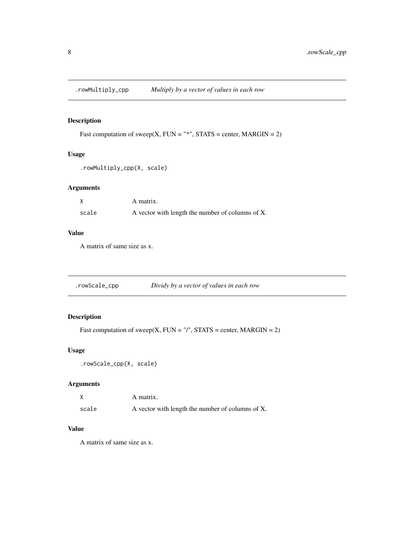<span id="page-7-0"></span>

### Description

```
Fast computation of sweep(X, FUN = "*", STATS = center, MARGIN = 2)
```
### Usage

```
.rowMultiply_cpp(X, scale)
```
### Arguments

|       | A matrix.                                        |
|-------|--------------------------------------------------|
| scale | A vector with length the number of columns of X. |

### Value

A matrix of same size as x.

### Description

Fast computation of sweep(X, FUN = "/", STATS = center, MARGIN =  $2$ )

#### Usage

```
.rowScale_cpp(X, scale)
```
### Arguments

|       | A matrix.                                        |
|-------|--------------------------------------------------|
| scale | A vector with length the number of columns of X. |

### Value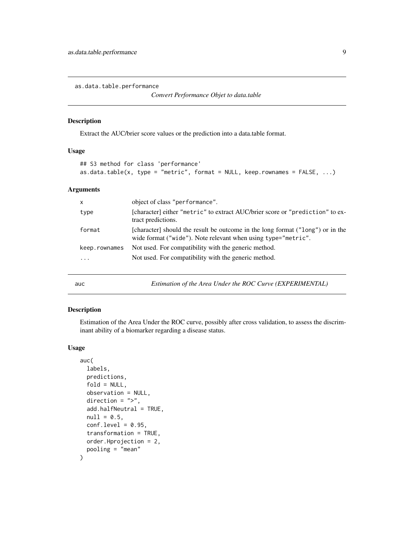<span id="page-8-0"></span>as.data.table.performance

#### Description

Extract the AUC/brier score values or the prediction into a data.table format.

#### Usage

```
## S3 method for class 'performance'
as.data.table(x, type = "metric", format = NULL, keep. rownames = FALSE, ...)
```
### Arguments

| x             | object of class "performance".                                                                                                                  |
|---------------|-------------------------------------------------------------------------------------------------------------------------------------------------|
| type          | [character] either "metric" to extract AUC/brier score or "prediction" to ex-<br>tract predictions.                                             |
| format        | [character] should the result be outcome in the long format ("long") or in the<br>wide format ("wide"). Note relevant when using type="metric". |
| keep.rownames | Not used. For compatibility with the generic method.                                                                                            |
| $\ddotsc$     | Not used. For compatibility with the generic method.                                                                                            |
|               |                                                                                                                                                 |

auc *Estimation of the Area Under the ROC Curve (EXPERIMENTAL)*

#### Description

Estimation of the Area Under the ROC curve, possibly after cross validation, to assess the discriminant ability of a biomarker regarding a disease status.

```
auc(
  labels,
 predictions,
  fold = NULL,observation = NULL,
  direction = ">',
  add.halfNeutral = TRUE,
  null = 0.5,
  conf. level = 0.95,transformation = TRUE,
  order.Hprojection = 2,
  pooling = "mean"
\mathcal{E}
```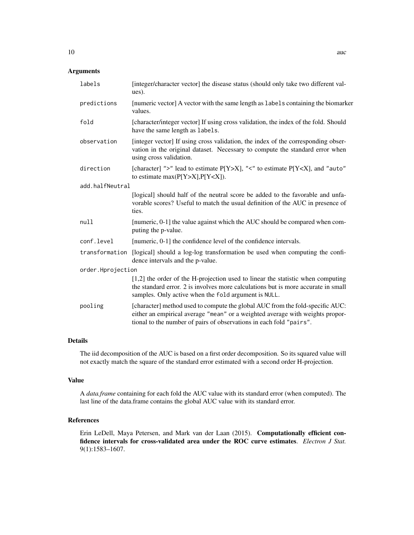### Arguments

|                   | labels          | [integer/character vector] the disease status (should only take two different val-<br>ues).                                                                                                                                           |
|-------------------|-----------------|---------------------------------------------------------------------------------------------------------------------------------------------------------------------------------------------------------------------------------------|
|                   | predictions     | [numeric vector] A vector with the same length as labels containing the biomarker<br>values.                                                                                                                                          |
|                   | fold            | [character/integer vector] If using cross validation, the index of the fold. Should<br>have the same length as labels.                                                                                                                |
|                   | observation     | [integer vector] If using cross validation, the index of the corresponding obser-<br>vation in the original dataset. Necessary to compute the standard error when<br>using cross validation.                                          |
|                   | direction       | [character] ">" lead to estimate P[Y>X], "<" to estimate P[Y <x], "auto"<br="" and="">to estimate <math>max(P[Y&gt;X], P[Y<x])< math="">.</x])<></math></x],>                                                                         |
|                   | add.halfNeutral |                                                                                                                                                                                                                                       |
|                   |                 | [logical] should half of the neutral score be added to the favorable and unfa-<br>vorable scores? Useful to match the usual definition of the AUC in presence of<br>ties.                                                             |
|                   | null            | [numeric, 0-1] the value against which the AUC should be compared when com-<br>puting the p-value.                                                                                                                                    |
|                   | conf.level      | [numeric, 0-1] the confidence level of the confidence intervals.                                                                                                                                                                      |
|                   | transformation  | [logical] should a log-log transformation be used when computing the confi-<br>dence intervals and the p-value.                                                                                                                       |
| order.Hprojection |                 |                                                                                                                                                                                                                                       |
|                   |                 | [1,2] the order of the H-projection used to linear the statistic when computing<br>the standard error. 2 is involves more calculations but is more accurate in small<br>samples. Only active when the fold argument is NULL.          |
|                   | pooling         | [character] method used to compute the global AUC from the fold-specific AUC:<br>either an empirical average "mean" or a weighted average with weights propor-<br>tional to the number of pairs of observations in each fold "pairs". |

### Details

The iid decomposition of the AUC is based on a first order decomposition. So its squared value will not exactly match the square of the standard error estimated with a second order H-projection.

#### Value

A *data.frame* containing for each fold the AUC value with its standard error (when computed). The last line of the data.frame contains the global AUC value with its standard error.

#### References

Erin LeDell, Maya Petersen, and Mark van der Laan (2015). Computationally efficient confidence intervals for cross-validated area under the ROC curve estimates. *Electron J Stat.* 9(1):1583–1607.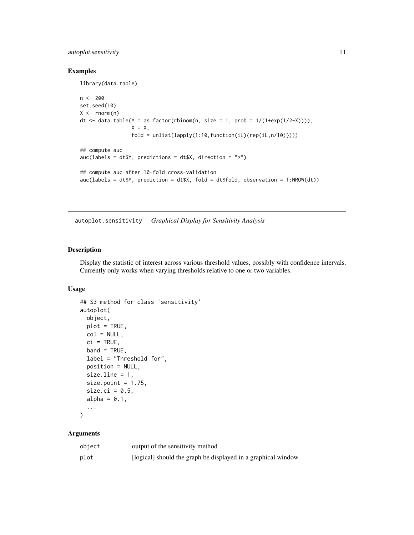### <span id="page-10-0"></span>autoplot.sensitivity 11

### Examples

library(data.table)

```
n < -200set.seed(10)
X \leftarrow \text{norm}(n)dt \le data.table(Y = as.factor(rbinom(n, size = 1, prob = 1/(1+exp(1/2-\chi)))),
                  X = X,
                  fold = unlist(lapply(1:10,function(iL){rep(iL,n/10)})))
## compute auc
auc(labels = dt$Y, predictions = dt$X, direction = ">")
## compute auc after 10-fold cross-validation
auc(labels = dt$Y, prediction = dt$X, fold = dt$fold, observation = 1:NROW(dt))
```
autoplot.sensitivity *Graphical Display for Sensitivity Analysis*

### Description

Display the statistic of interest across various threshold values, possibly with confidence intervals. Currently only works when varying thresholds relative to one or two variables.

### Usage

```
## S3 method for class 'sensitivity'
autoplot(
 object,
 plot = TRUE,
 col = NULL,ci = TRUE,band = TRUE,label = "Threshold for",
 position = NULL,
 size.line = 1,
 size.point = 1.75,
 size.ci = 0.5,
 alpha = 0.1,
  ...
```
)

| object | output of the sensitivity method                              |
|--------|---------------------------------------------------------------|
| plot   | [logical] should the graph be displayed in a graphical window |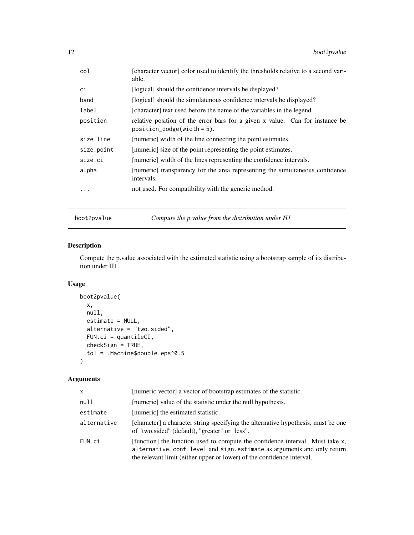<span id="page-11-0"></span>

| col        | [character vector] color used to identify the thresholds relative to a second vari-<br>able.                   |
|------------|----------------------------------------------------------------------------------------------------------------|
| сi         | [logical] should the confidence intervals be displayed?                                                        |
| band       | [logical] should the simulate nous confidence intervals be displayed?                                          |
| label      | [character] text used before the name of the variables in the legend.                                          |
| position   | relative position of the error bars for a given x value. Can for instance be<br>$position\_dodge(width = 5)$ . |
| size.line  | [numeric] width of the line connecting the point estimates.                                                    |
| size.point | [numeric] size of the point representing the point estimates.                                                  |
| size.ci    | [numeric] width of the lines representing the confidence intervals.                                            |
| alpha      | [numeric] transparency for the area representing the simultaneous confidence<br>intervals.                     |
| .          | not used. For compatibility with the generic method.                                                           |

boot2pvalue *Compute the p.value from the distribution under H1*

### Description

Compute the p.value associated with the estimated statistic using a bootstrap sample of its distribution under H1.

### Usage

```
boot2pvalue(
 x,
 null,
 estimate = NULL,
 alternative = "two.sided",
 FUN.ci = quantileCI,
 checkSign = TRUE,
  tol = .Machine$double.eps^0.5
\mathcal{L}
```

| X           | [numeric vector] a vector of bootstrap estimates of the statistic.                                                                                                                                                                  |
|-------------|-------------------------------------------------------------------------------------------------------------------------------------------------------------------------------------------------------------------------------------|
| null        | [numeric] value of the statistic under the null hypothesis.                                                                                                                                                                         |
| estimate    | [numeric] the estimated statistic.                                                                                                                                                                                                  |
| alternative | [character] a character string specifying the alternative hypothesis, must be one<br>of "two.sided" (default), "greater" or "less".                                                                                                 |
| FUN.ci      | [function] the function used to compute the confidence interval. Must take x,<br>alternative, conf. level and sign. estimate as arguments and only return<br>the relevant limit (either upper or lower) of the confidence interval. |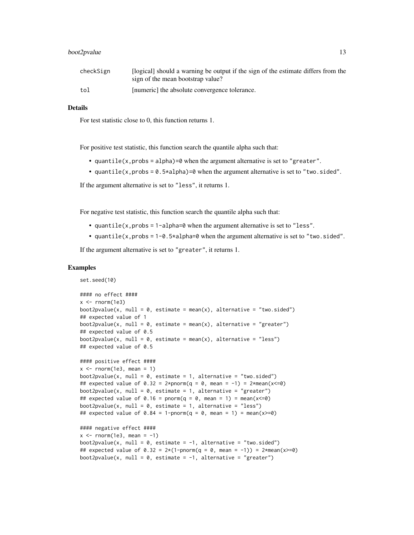### boot2pvalue 13

| checkSign | [logical] should a warning be output if the sign of the estimate differs from the |
|-----------|-----------------------------------------------------------------------------------|
|           | sign of the mean bootstrap value?                                                 |
| tol       | [numeric] the absolute convergence tolerance.                                     |

#### Details

For test statistic close to 0, this function returns 1.

For positive test statistic, this function search the quantile alpha such that:

- quantile(x, probs = alpha)= $\theta$  when the argument alternative is set to "greater".
- quantile(x, probs =  $0.5 \times$ alpha)=0 when the argument alternative is set to "two.sided".

If the argument alternative is set to "less", it returns 1.

For negative test statistic, this function search the quantile alpha such that:

- quantile(x,probs = 1-alpha=0 when the argument alternative is set to "less".
- quantile(x,probs =  $1-\theta$ .5\*alpha=0 when the argument alternative is set to "two.sided".

If the argument alternative is set to "greater", it returns 1.

#### Examples

```
set.seed(10)
#### no effect ####
x < - rnorm(1e3)
boot2pvalue(x, null = 0, estimate = mean(x), alternative = "two.sided")
## expected value of 1
boot2pvalue(x, null = 0, estimate = mean(x), alternative = "greater")
## expected value of 0.5
boot2pvalue(x, null = 0, estimate = mean(x), alternative = "less")
## expected value of 0.5
#### positive effect ####
x \le - rnorm(1e3, mean = 1)
boot2pvalue(x, null = 0, estimate = 1, alternative = "two.sided")
## expected value of 0.32 = 2*<i>pmorm</i>(q = 0, <i>mean</i> = -1) = 2*<i>mean</i>(x < = 0)boot2pvalue(x, null = 0, estimate = 1, alternative = "greater")
## expected value of 0.16 = pnorm(q = 0, mean = 1) = mean(x <= 0)
boot2pvalue(x, null = 0, estimate = 1, alternative = "less")
## expected value of 0.84 = 1-pnorm(q = 0, mean = 1) = mean(x>=0)
#### negative effect ####
x \le - rnorm(1e3, mean = -1)
boot2pvalue(x, null = 0, estimate = -1, alternative = "two.sided")
## expected value of 0.32 = 2*(1-pnorm(q = 0, mean = -1)) = 2*mean(x>=0)
```
boot2pvalue(x, null =  $0$ , estimate =  $-1$ , alternative = "greater")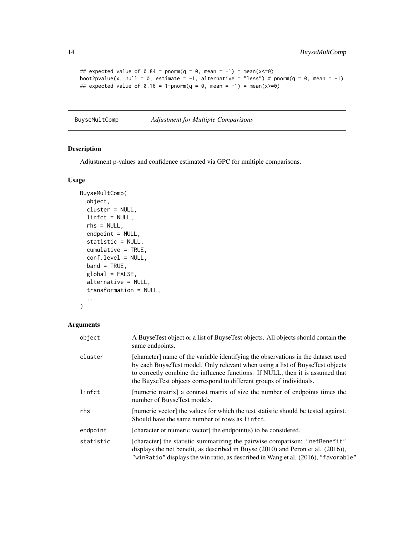```
## expected value of 0.84 = pnorm(q = 0, mean = -1) = mean(x <= 0)
boot2pvalue(x, null = 0, estimate = -1, alternative = "less") # pnorm(q = 0, mean = -1)
## expected value of 0.16 = 1-pnorm(q = 0, mean = -1) = mean(x>=0)
```
BuyseMultComp *Adjustment for Multiple Comparisons*

### Description

Adjustment p-values and confidence estimated via GPC for multiple comparisons.

#### Usage

```
BuyseMultComp(
 object,
  cluster = NULL,
 linfct = NULL,
  rhs = NULL,
  endpoint = NULL,statistic = NULL,
  cumulative = TRUE,
  conf.level = NULL,
 band = TRUE,global = FALSE,alternative = NULL,
  transformation = NULL,
  ...
)
```

| object    | A Buyse Test object or a list of Buyse Test objects. All objects should contain the<br>same endpoints.                                                                                                                                                                                                                       |
|-----------|------------------------------------------------------------------------------------------------------------------------------------------------------------------------------------------------------------------------------------------------------------------------------------------------------------------------------|
| cluster   | [character] name of the variable identifying the observations in the dataset used<br>by each BuyseTest model. Only relevant when using a list of BuyseTest objects<br>to correctly combine the influence functions. If NULL, then it is assumed that<br>the BuyseTest objects correspond to different groups of individuals. |
| linfct    | [numeric matrix] a contrast matrix of size the number of endpoints times the<br>number of BuyseTest models.                                                                                                                                                                                                                  |
| rhs       | [numeric vector] the values for which the test statistic should be tested against.<br>Should have the same number of rows as linfct.                                                                                                                                                                                         |
| endpoint  | [character or numeric vector] the endpoint $(s)$ to be considered.                                                                                                                                                                                                                                                           |
| statistic | [character] the statistic summarizing the pairwise comparison: "netBenefit"<br>displays the net benefit, as described in Buyse $(2010)$ and Peron et al. $(2016)$ ),<br>"winRatio" displays the win ratio, as described in Wang et al. (2016), "favorable"                                                                   |

<span id="page-13-0"></span>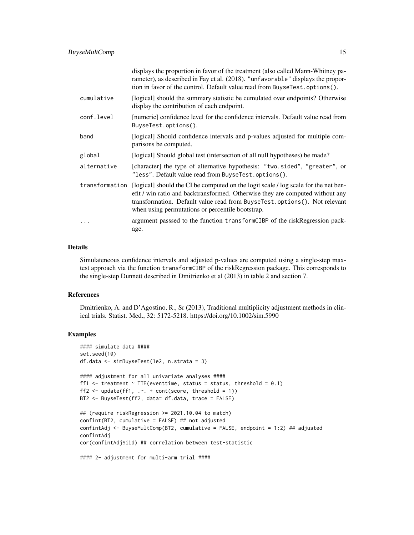|                | displays the proportion in favor of the treatment (also called Mann-Whitney pa-<br>rameter), as described in Fay et al. (2018). "unfavorable" displays the propor-<br>tion in favor of the control. Default value read from BuyseTest.options().                                                      |
|----------------|-------------------------------------------------------------------------------------------------------------------------------------------------------------------------------------------------------------------------------------------------------------------------------------------------------|
| cumulative     | [logical] should the summary statistic be cumulated over endpoints? Otherwise<br>display the contribution of each endpoint.                                                                                                                                                                           |
| conf.level     | [numeric] confidence level for the confidence intervals. Default value read from<br>BuyseTest.options().                                                                                                                                                                                              |
| band           | [logical] Should confidence intervals and p-values adjusted for multiple com-<br>parisons be computed.                                                                                                                                                                                                |
| global         | [logical] Should global test (intersection of all null hypotheses) be made?                                                                                                                                                                                                                           |
| alternative    | [character] the type of alternative hypothesis: "two.sided", "greater", or<br>"less". Default value read from BuyseTest.options().                                                                                                                                                                    |
| transformation | [logical] should the CI be computed on the logit scale / log scale for the net ben-<br>efit / win ratio and backtransformed. Otherwise they are computed without any<br>transformation. Default value read from BuyseTest.options(). Not relevant<br>when using permutations or percentile bootstrap. |
| .              | argument passsed to the function transformCIBP of the riskRegression pack-<br>age.                                                                                                                                                                                                                    |

### Details

Simulateneous confidence intervals and adjusted p-values are computed using a single-step maxtest approach via the function transformCIBP of the riskRegression package. This corresponds to the single-step Dunnett described in Dmitrienko et al (2013) in table 2 and section 7.

#### References

Dmitrienko, A. and D'Agostino, R., Sr (2013), Traditional multiplicity adjustment methods in clinical trials. Statist. Med., 32: 5172-5218. https://doi.org/10.1002/sim.5990

### Examples

```
#### simulate data ####
set.seed(10)
df.data <- simBuyseTest(1e2, n.strata = 3)
#### adjustment for all univariate analyses ####
ff1 \le treatment \sim TTE(eventtime, status = status, threshold = 0.1)
ff2 <- update(ff1, \therefore + cont(score, threshold = 1))
BT2 <- BuyseTest(ff2, data= df.data, trace = FALSE)
## (require riskRegression >= 2021.10.04 to match)
confint(BT2, cumulative = FALSE) ## not adjusted
confintAdj <- BuyseMultComp(BT2, cumulative = FALSE, endpoint = 1:2) ## adjusted
confintAdj
cor(confintAdj$iid) ## correlation between test-statistic
#### 2- adjustment for multi-arm trial ####
```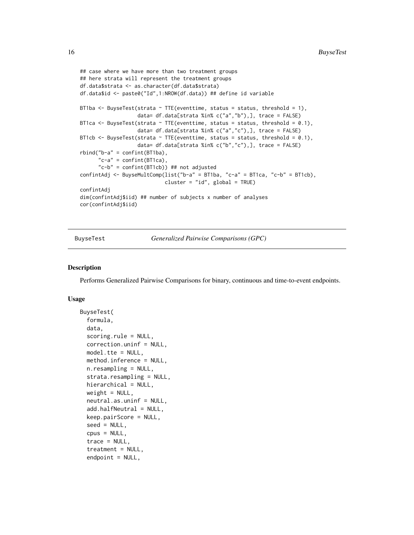```
## case where we have more than two treatment groups
## here strata will represent the treatment groups
df.data$strata <- as.character(df.data$strata)
df.data$id <- paste0("Id",1:NROW(df.data)) ## define id variable
BT1ba \leq BuyseTest(strata \sim TTE(eventtime, status = status, threshold = 1),
                   data= df.data[strata %in% c("a","b"),], trace = FALSE)
BT1ca \leq BuyseTest(strata \sim TTE(eventtime, status = status, threshold = 0.1),
                   data= df.data[strata %in% c("a","c"),], trace = FALSE)
BT1cb <- BuyseTest(strata \sim TTE(eventtime, status = status, threshold = 0.1),
                   data= df.data[strata %in% c("b","c"),], trace = FALSE)
rbind("b-a" = confint(BT1ba),"c-a" = \text{confint}(BT1ca),
      "c-b" = confint(BT1cb)) ## not adjusted
confintAdj <- BuyseMultComp(list("b-a" = BT1ba, "c-a" = BT1ca, "c-b" = BT1cb),
                            cluster = "id", global = TRUE)
confintAdj
dim(confintAdj$iid) ## number of subjects x number of analyses
cor(confintAdj$iid)
```
<span id="page-15-1"></span>BuyseTest *Generalized Pairwise Comparisons (GPC)*

#### Description

Performs Generalized Pairwise Comparisons for binary, continuous and time-to-event endpoints.

```
BuyseTest(
  formula,
  data,
  scoring.rule = NULL,
  correction.uninf = NULL,
 model.tte = NULL,
 method.inference = NULL,
  n.resampling = NULL,
  strata.resampling = NULL,
  hierarchical = NULL,
  weight = NULL,neutral.as.uninf = NULL,
  add.halfNeutral = NULL,
  keep.pairScore = NULL,
  seed = NULL,
  cpus = NULL,
  trace = NULL,
  treatment = NULL,
  endpoint = NULL,
```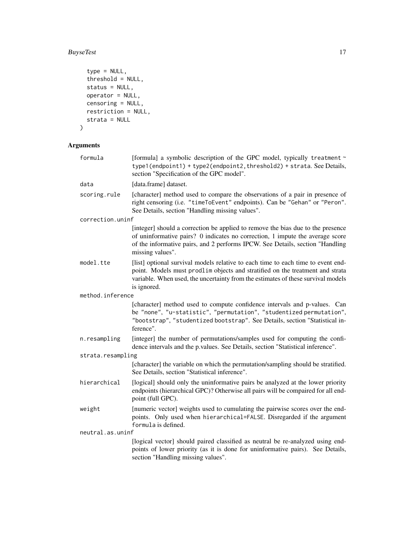### BuyseTest 17

```
type = NULL,
  threshold = NULL,
  status = NULL,
  operator = NULL,
  censoring = NULL,
  restriction = NULL,
  strata = NULL
\mathcal{L}
```

| formula           | [formula] a symbolic description of the GPC model, typically treatment ~<br>type1(endpoint1) + type2(endpoint2, threshold2) + strata. See Details,<br>section "Specification of the GPC model".                                                                       |
|-------------------|-----------------------------------------------------------------------------------------------------------------------------------------------------------------------------------------------------------------------------------------------------------------------|
| data              | [data.frame] dataset.                                                                                                                                                                                                                                                 |
| scoring.rule      | [character] method used to compare the observations of a pair in presence of<br>right censoring (i.e. "timeToEvent" endpoints). Can be "Gehan" or "Peron".<br>See Details, section "Handling missing values".                                                         |
| correction.uninf  |                                                                                                                                                                                                                                                                       |
|                   | [integer] should a correction be applied to remove the bias due to the presence<br>of uninformative pairs? 0 indicates no correction, 1 impute the average score<br>of the informative pairs, and 2 performs IPCW. See Details, section "Handling<br>missing values". |
| model.tte         | [list] optional survival models relative to each time to each time to event end-<br>point. Models must prodlim objects and stratified on the treatment and strata<br>variable. When used, the uncertainty from the estimates of these survival models<br>is ignored.  |
| method.inference  |                                                                                                                                                                                                                                                                       |
|                   | [character] method used to compute confidence intervals and p-values. Can<br>be "none", "u-statistic", "permutation", "studentized permutation",<br>"bootstrap", "studentized bootstrap". See Details, section "Statistical in-<br>ference".                          |
| n.resampling      | [integer] the number of permutations/samples used for computing the confi-<br>dence intervals and the p.values. See Details, section "Statistical inference".                                                                                                         |
| strata.resampling |                                                                                                                                                                                                                                                                       |
|                   | [character] the variable on which the permutation/sampling should be stratified.<br>See Details, section "Statistical inference".                                                                                                                                     |
| hierarchical      | [logical] should only the uninformative pairs be analyzed at the lower priority<br>endpoints (hierarchical GPC)? Otherwise all pairs will be compaired for all end-<br>point (full GPC).                                                                              |
| weight            | [numeric vector] weights used to cumulating the pairwise scores over the end-<br>points. Only used when hierarchical=FALSE. Disregarded if the argument<br>formula is defined.                                                                                        |
| neutral.as.uninf  |                                                                                                                                                                                                                                                                       |
|                   | [logical vector] should paired classified as neutral be re-analyzed using end-<br>points of lower priority (as it is done for uninformative pairs). See Details,<br>section "Handling missing values".                                                                |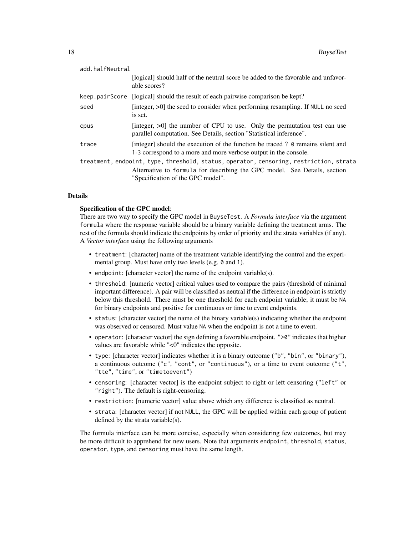| add.halfNeutral |                                                                                                                                                                                                          |
|-----------------|----------------------------------------------------------------------------------------------------------------------------------------------------------------------------------------------------------|
|                 | [logical] should half of the neutral score be added to the favorable and unfavor-<br>able scores?                                                                                                        |
|                 | keep.pairScore [logical] should the result of each pairwise comparison be kept?                                                                                                                          |
| seed            | [integer, >0] the seed to consider when performing resampling. If NULL no seed<br>is set.                                                                                                                |
| cpus            | [integer, $>0$ ] the number of CPU to use. Only the permutation test can use<br>parallel computation. See Details, section "Statistical inference".                                                      |
| trace           | [integer] should the execution of the function be traced ? 0 remains silent and<br>1-3 correspond to a more and more verbose output in the console.                                                      |
|                 | treatment, endpoint, type, threshold, status, operator, censoring, restriction, strata<br>Alternative to formula for describing the GPC model. See Details, section<br>"Specification of the GPC model". |

#### Details

#### Specification of the GPC model:

There are two way to specify the GPC model in BuyseTest. A *Formula interface* via the argument formula where the response variable should be a binary variable defining the treatment arms. The rest of the formula should indicate the endpoints by order of priority and the strata variables (if any). A *Vector interface* using the following arguments

- treatment: [character] name of the treatment variable identifying the control and the experimental group. Must have only two levels (e.g. 0 and 1).
- endpoint: [character vector] the name of the endpoint variable(s).
- threshold: [numeric vector] critical values used to compare the pairs (threshold of minimal important difference). A pair will be classified as neutral if the difference in endpoint is strictly below this threshold. There must be one threshold for each endpoint variable; it must be NA for binary endpoints and positive for continuous or time to event endpoints.
- status: [character vector] the name of the binary variable(s) indicating whether the endpoint was observed or censored. Must value NA when the endpoint is not a time to event.
- operator: [character vector] the sign defining a favorable endpoint. ">0" indicates that higher values are favorable while "<0" indicates the opposite.
- type: [character vector] indicates whether it is a binary outcome ("b", "bin", or "binary"), a continuous outcome ("c", "cont", or "continuous"), or a time to event outcome ("t", "tte", "time", or "timetoevent")
- censoring: [character vector] is the endpoint subject to right or left censoring ("left" or "right"). The default is right-censoring.
- restriction: [numeric vector] value above which any difference is classified as neutral.
- strata: [character vector] if not NULL, the GPC will be applied within each group of patient defined by the strata variable(s).

The formula interface can be more concise, especially when considering few outcomes, but may be more difficult to apprehend for new users. Note that arguments endpoint, threshold, status, operator, type, and censoring must have the same length.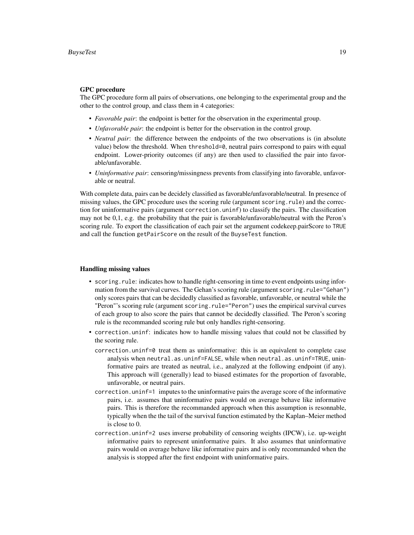#### GPC procedure

The GPC procedure form all pairs of observations, one belonging to the experimental group and the other to the control group, and class them in 4 categories:

- *Favorable pair*: the endpoint is better for the observation in the experimental group.
- *Unfavorable pair*: the endpoint is better for the observation in the control group.
- *Neutral pair*: the difference between the endpoints of the two observations is (in absolute value) below the threshold. When threshold=0, neutral pairs correspond to pairs with equal endpoint. Lower-priority outcomes (if any) are then used to classified the pair into favorable/unfavorable.
- *Uninformative pair*: censoring/missingness prevents from classifying into favorable, unfavorable or neutral.

With complete data, pairs can be decidely classified as favorable/unfavorable/neutral. In presence of missing values, the GPC procedure uses the scoring rule (argument scoring.rule) and the correction for uninformative pairs (argument correction.uninf) to classify the pairs. The classification may not be 0,1, e.g. the probability that the pair is favorable/unfavorable/neutral with the Peron's scoring rule. To export the classification of each pair set the argument codekeep.pairScore to TRUE and call the function getPairScore on the result of the BuyseTest function.

#### Handling missing values

- scoring.rule: indicates how to handle right-censoring in time to event endpoints using information from the survival curves. The Gehan's scoring rule (argument scoring.rule="Gehan") only scores pairs that can be decidedly classified as favorable, unfavorable, or neutral while the "Peron"'s scoring rule (argument scoring.rule="Peron") uses the empirical survival curves of each group to also score the pairs that cannot be decidedly classified. The Peron's scoring rule is the recommanded scoring rule but only handles right-censoring.
- correction.uninf: indicates how to handle missing values that could not be classified by the scoring rule.
	- correction.uninf=0 treat them as uninformative: this is an equivalent to complete case analysis when neutral.as.uninf=FALSE, while when neutral.as.uninf=TRUE, uninformative pairs are treated as neutral, i.e., analyzed at the following endpoint (if any). This approach will (generally) lead to biased estimates for the proportion of favorable, unfavorable, or neutral pairs.
	- correction.uninf=1 imputes to the uninformative pairs the average score of the informative pairs, i.e. assumes that uninformative pairs would on average behave like informative pairs. This is therefore the recommanded approach when this assumption is resonnable, typically when the the tail of the survival function estimated by the Kaplan–Meier method is close to 0.
	- correction.uninf=2 uses inverse probability of censoring weights (IPCW), i.e. up-weight informative pairs to represent uninformative pairs. It also assumes that uninformative pairs would on average behave like informative pairs and is only recommanded when the analysis is stopped after the first endpoint with uninformative pairs.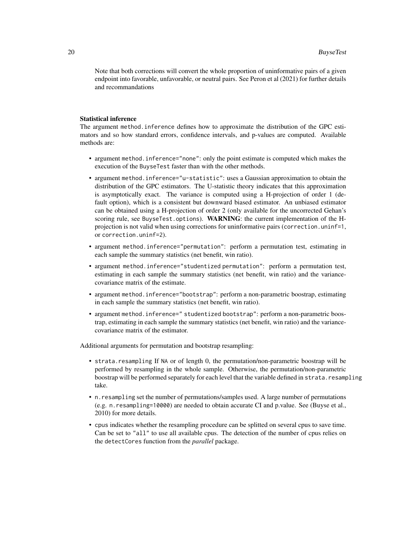Note that both corrections will convert the whole proportion of uninformative pairs of a given endpoint into favorable, unfavorable, or neutral pairs. See Peron et al (2021) for further details and recommandations

#### Statistical inference

The argument method.inference defines how to approximate the distribution of the GPC estimators and so how standard errors, confidence intervals, and p-values are computed. Available methods are:

- argument method.inference="none": only the point estimate is computed which makes the execution of the BuyseTest faster than with the other methods.
- argument method.inference="u-statistic": uses a Gaussian approximation to obtain the distribution of the GPC estimators. The U-statistic theory indicates that this approximation is asymptotically exact. The variance is computed using a H-projection of order 1 (default option), which is a consistent but downward biased estimator. An unbiased estimator can be obtained using a H-projection of order 2 (only available for the uncorrected Gehan's scoring rule, see BuyseTest.options). WARNING: the current implementation of the Hprojection is not valid when using corrections for uninformative pairs (correction.uninf=1, or correction.uninf=2).
- argument method.inference="permutation": perform a permutation test, estimating in each sample the summary statistics (net benefit, win ratio).
- argument method.inference="studentized permutation": perform a permutation test, estimating in each sample the summary statistics (net benefit, win ratio) and the variancecovariance matrix of the estimate.
- argument method.inference="bootstrap": perform a non-parametric boostrap, estimating in each sample the summary statistics (net benefit, win ratio).
- argument method.inference=" studentized bootstrap": perform a non-parametric boostrap, estimating in each sample the summary statistics (net benefit, win ratio) and the variancecovariance matrix of the estimator.

Additional arguments for permutation and bootstrap resampling:

- strata.resampling If NA or of length 0, the permutation/non-parametric boostrap will be performed by resampling in the whole sample. Otherwise, the permutation/non-parametric boostrap will be performed separately for each level that the variable defined in strata.resampling take.
- n.resampling set the number of permutations/samples used. A large number of permutations (e.g. n.resampling=10000) are needed to obtain accurate CI and p.value. See (Buyse et al., 2010) for more details.
- cpus indicates whether the resampling procedure can be splitted on several cpus to save time. Can be set to "all" to use all available cpus. The detection of the number of cpus relies on the detectCores function from the *parallel* package.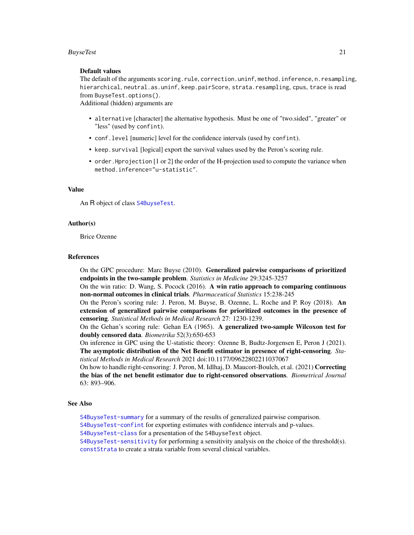#### <span id="page-20-0"></span>**BuyseTest** 21

#### Default values

The default of the arguments scoring.rule, correction.uninf, method.inference, n.resampling, hierarchical, neutral.as.uninf, keep.pairScore, strata.resampling, cpus, trace is read from BuyseTest.options().

Additional (hidden) arguments are

- alternative [character] the alternative hypothesis. Must be one of "two.sided", "greater" or "less" (used by confint).
- conf.level [numeric] level for the confidence intervals (used by confint).
- keep.survival [logical] export the survival values used by the Peron's scoring rule.
- order.Hprojection [1 or 2] the order of the H-projection used to compute the variance when method.inference="u-statistic".

### Value

An R object of class [S4BuyseTest](#page-51-1).

#### Author(s)

Brice Ozenne

#### References

On the GPC procedure: Marc Buyse (2010). Generalized pairwise comparisons of prioritized endpoints in the two-sample problem. *Statistics in Medicine* 29:3245-3257

On the win ratio: D. Wang, S. Pocock (2016). A win ratio approach to comparing continuous non-normal outcomes in clinical trials. *Pharmaceutical Statistics* 15:238-245

On the Peron's scoring rule: J. Peron, M. Buyse, B. Ozenne, L. Roche and P. Roy (2018). An extension of generalized pairwise comparisons for prioritized outcomes in the presence of censoring. *Statistical Methods in Medical Research* 27: 1230-1239.

On the Gehan's scoring rule: Gehan EA (1965). A generalized two-sample Wilcoxon test for doubly censored data. *Biometrika* 52(3):650-653

On inference in GPC using the U-statistic theory: Ozenne B, Budtz-Jorgensen E, Peron J (2021). The asymptotic distribution of the Net Benefit estimator in presence of right-censoring. *Statistical Methods in Medical Research* 2021 doi:10.1177/09622802211037067

On how to handle right-censoring: J. Peron, M. Idlhaj, D. Maucort-Boulch, et al. (2021) Correcting the bias of the net benefit estimator due to right-censored observations. *Biometrical Journal* 63: 893–906.

#### See Also

[S4BuyseTest-summary](#page-55-1) for a summary of the results of generalized pairwise comparison.

[S4BuyseTest-confint](#page-52-1) for exporting estimates with confidence intervals and p-values.

[S4BuyseTest-class](#page-51-1) for a presentation of the S4BuyseTest object.

[S4BuyseTest-sensitivity](#page-59-1) for performing a sensitivity analysis on the choice of the threshold(s). [constStrata](#page-27-1) to create a strata variable from several clinical variables.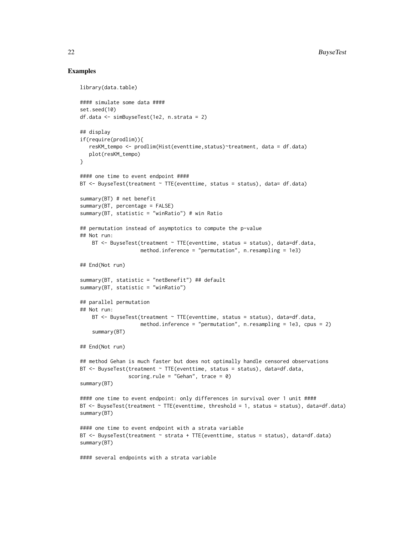#### Examples

```
library(data.table)
#### simulate some data ####
set.seed(10)
df.data <- simBuyseTest(1e2, n.strata = 2)
## display
if(require(prodlim)){
   resKM_tempo <- prodlim(Hist(eventtime,status)~treatment, data = df.data)
   plot(resKM_tempo)
}
#### one time to event endpoint ####
BT \leq BuyseTest(treatment \sim TTE(eventtime, status = status), data= df.data)
summary(BT) # net benefit
summary(BT, percentage = FALSE)
summary(BT, statistic = "winRatio") # win Ratio
## permutation instead of asymptotics to compute the p-value
## Not run:
    BT \leq BuyseTest(treatment \sim TTE(eventtime, status = status), data=df.data,
                    method.inference = "permutation", n.resampling = 1e3)
## End(Not run)
summary(BT, statistic = "netBenefit") ## default
summary(BT, statistic = "winRatio")
## parallel permutation
## Not run:
    BT \leq BuyseTest(treatment \sim TTE(eventtime, status = status), data=df.data,
                    method.inference = "permutation", n.resampling = 1e3, cpus = 2)
    summary(BT)
## End(Not run)
## method Gehan is much faster but does not optimally handle censored observations
BT \leq BuyseTest(treatment \sim TTE(eventtime, status = status), data=df.data,
                scoring.rule = "Gehan", trace = 0)
summary(BT)
#### one time to event endpoint: only differences in survival over 1 unit ####
BT <- BuyseTest(treatment ~ TTE(eventtime, threshold = 1, status = status), data=df.data)
summary(BT)
#### one time to event endpoint with a strata variable
BT <- BuyseTest(treatment ~ strata + TTE(eventtime, status = status), data=df.data)
summary(BT)
#### several endpoints with a strata variable
```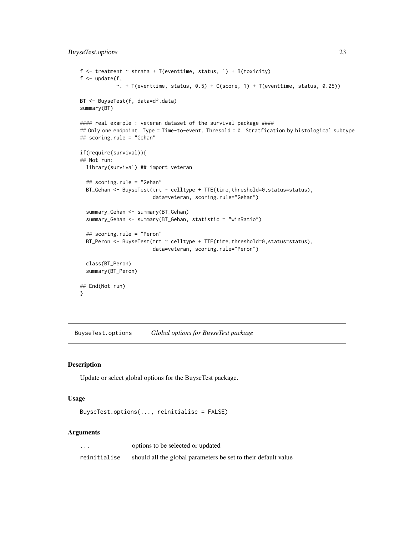```
f \le treatment \le strata + T(eventtime, status, 1) + B(toxicity)
f \leftarrow \text{update}(f,\sim. + T(eventtime, status, 0.5) + C(score, 1) + T(eventtime, status, 0.25))
BT <- BuyseTest(f, data=df.data)
summary(BT)
#### real example : veteran dataset of the survival package ####
## Only one endpoint. Type = Time-to-event. Thresold = 0. Stratfication by histological subtype
## scoring.rule = "Gehan"
if(require(survival)){
## Not run:
  library(survival) ## import veteran
  ## scoring.rule = "Gehan"
  BT_Gehan <- BuyseTest(trt ~ celltype + TTE(time,threshold=0,status=status),
                        data=veteran, scoring.rule="Gehan")
  summary_Gehan <- summary(BT_Gehan)
  summary_Gehan <- summary(BT_Gehan, statistic = "winRatio")
  ## scoring.rule = "Peron"
  BT_Peron <- BuyseTest(trt ~ celltype + TTE(time, threshold=0, status=status),
                        data=veteran, scoring.rule="Peron")
  class(BT_Peron)
  summary(BT_Peron)
## End(Not run)
}
```
<span id="page-22-1"></span>BuyseTest.options *Global options for BuyseTest package*

### Description

Update or select global options for the BuyseTest package.

#### Usage

```
BuyseTest.options(..., reinitialise = FALSE)
```

| $\cdots$     | options to be selected or updated                              |
|--------------|----------------------------------------------------------------|
| reinitialise | should all the global parameters be set to their default value |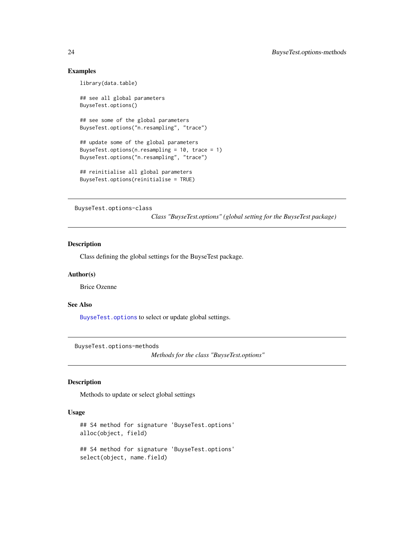#### Examples

library(data.table)

```
## see all global parameters
BuyseTest.options()
## see some of the global parameters
BuyseTest.options("n.resampling", "trace")
## update some of the global parameters
BuyseTest.options(n.resampling = 10, trace = 1)
BuyseTest.options("n.resampling", "trace")
## reinitialise all global parameters
BuyseTest.options(reinitialise = TRUE)
```
BuyseTest.options-class

*Class "BuyseTest.options" (global setting for the BuyseTest package)*

#### Description

Class defining the global settings for the BuyseTest package.

#### Author(s)

Brice Ozenne

#### See Also

[BuyseTest.options](#page-22-1) to select or update global settings.

BuyseTest.options-methods

*Methods for the class "BuyseTest.options"*

### Description

Methods to update or select global settings

```
## S4 method for signature 'BuyseTest.options'
alloc(object, field)
## S4 method for signature 'BuyseTest.options'
select(object, name.field)
```
<span id="page-23-0"></span>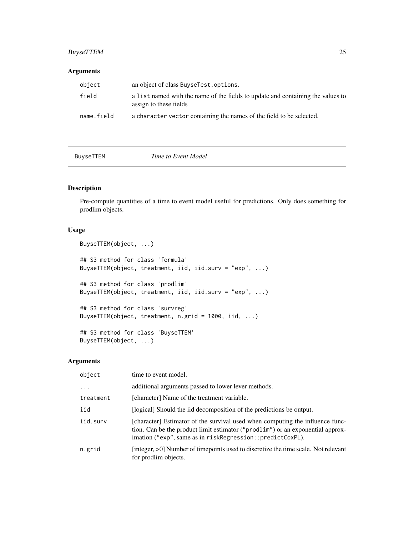### <span id="page-24-0"></span>BuyseTTEM 25

#### Arguments

| object     | an object of class BuyseTest.options.                                                                     |
|------------|-----------------------------------------------------------------------------------------------------------|
| field      | a list named with the name of the fields to update and containing the values to<br>assign to these fields |
| name.field | a character vector containing the names of the field to be selected.                                      |

| <b>BuvseTTEM</b> |
|------------------|
|------------------|

**EXECUTE:** Time to Event Model

### Description

Pre-compute quantities of a time to event model useful for predictions. Only does something for prodlim objects.

### Usage

```
BuyseTTEM(object, ...)
## S3 method for class 'formula'
BuyseTTEM(object, treatment, iid, iid.surv = "exp", ...)
## S3 method for class 'prodlim'
BuyseTTEM(object, treatment, iid, iid.surv = "exp", ...)
## S3 method for class 'survreg'
BuyseTTEM(object, treatment, n.grid = 1000, iid, ...)
## S3 method for class 'BuyseTTEM'
BuyseTTEM(object, ...)
```

| object    | time to event model.                                                                                                                                                                                                         |
|-----------|------------------------------------------------------------------------------------------------------------------------------------------------------------------------------------------------------------------------------|
|           | additional arguments passed to lower lever methods.                                                                                                                                                                          |
| treatment | [character] Name of the treatment variable.                                                                                                                                                                                  |
| iid       | [logical] Should the iid decomposition of the predictions be output.                                                                                                                                                         |
| iid.surv  | [character] Estimator of the survival used when computing the influence func-<br>tion. Can be the product limit estimator ("prodlim") or an exponential approx-<br>imation ("exp", same as in riskRegression::predictCoxPL). |
| n.grid    | [integer, >0] Number of timepoints used to discretize the time scale. Not relevant<br>for prodlim objects.                                                                                                                   |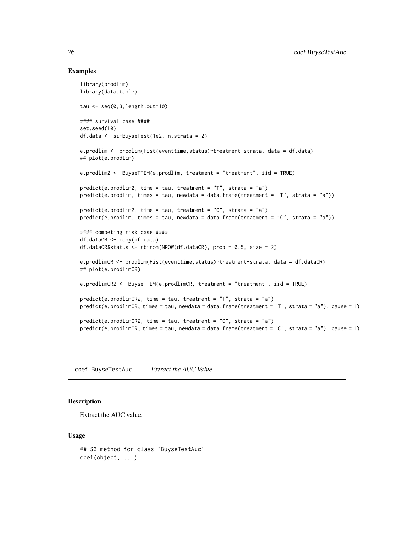#### Examples

```
library(prodlim)
library(data.table)
tau \leq seq(0, 3,length.out=10)
#### survival case ####
set.seed(10)
df.data <- simBuyseTest(1e2, n.strata = 2)
e.prodlim <- prodlim(Hist(eventtime,status)~treatment+strata, data = df.data)
## plot(e.prodlim)
e.prodlim2 <- BuyseTTEM(e.prodlim, treatment = "treatment", iid = TRUE)
predict(e.prodlim2, time = tau, treatment = "T", strata = "a")
predict(e.prodlim, times = tau, newdata = data.frame(treatment = "T", strata = "a")predict(e.prodlim2, time = tau, treatment = "C", strata = "a")
predict(e.prodlim, times = tau, newdata = data.frame(treatment = "C", strata = "a"))#### competing risk case ####
df.dataCR <- copy(df.data)
df.dataCR$status <- rbinom(NROW(df.dataCR), prob = 0.5, size = 2)
e.prodlimCR <- prodlim(Hist(eventtime,status)~treatment+strata, data = df.dataCR)
## plot(e.prodlimCR)
e.prodlimCR2 <- BuyseTTEM(e.prodlimCR, treatment = "treatment", iid = TRUE)
predict(e.prodlimCR2, time = tau, treatment = "T", strata = "a")
predict(e.prodlimCR, times = tau, newdata = data.frame(treatment = "T", strata = "a"), cause = 1)
predict(e.prodlimCR2, time = tau, treatment = "C", strata = "a")
predict(e.prodlimCR, times = tau, newdata = data.frame(treatment = "C", strata = "a"), cause = 1)
```
coef.BuyseTestAuc *Extract the AUC Value*

#### **Description**

Extract the AUC value.

```
## S3 method for class 'BuyseTestAuc'
coef(object, ...)
```
<span id="page-25-0"></span>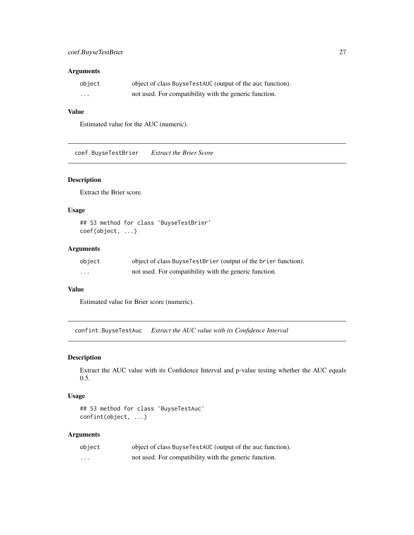### <span id="page-26-0"></span>Arguments

| object                  | object of class BuyseTestAUC (output of the auc function). |
|-------------------------|------------------------------------------------------------|
| $\cdot$ $\cdot$ $\cdot$ | not used. For compatibility with the generic function.     |

### Value

Estimated value for the AUC (numeric).

coef.BuyseTestBrier *Extract the Brier Score*

### Description

Extract the Brier score.

#### Usage

## S3 method for class 'BuyseTestBrier' coef(object, ...)

### Arguments

| object                  | object of class BuyseTestBrier (output of the brier function). |
|-------------------------|----------------------------------------------------------------|
| $\cdot$ $\cdot$ $\cdot$ | not used. For compatibility with the generic function.         |

#### Value

Estimated value for Brier score (numeric).

confint.BuyseTestAuc *Extract the AUC value with its Confidence Interval*

### Description

Extract the AUC value with its Confidence Interval and p-value testing whether the AUC equals 0.5.

#### Usage

## S3 method for class 'BuyseTestAuc' confint(object, ...)

| object | object of class BuyseTestAUC (output of the auc function). |
|--------|------------------------------------------------------------|
| .      | not used. For compatibility with the generic function.     |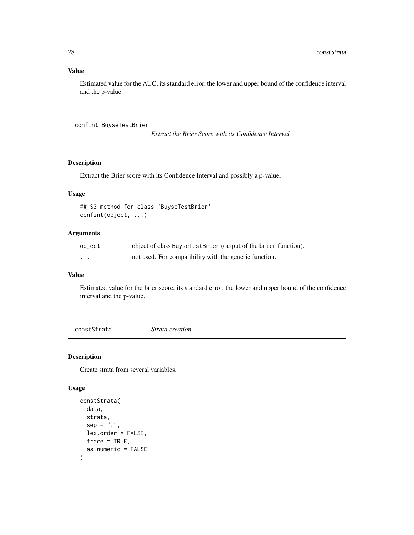### <span id="page-27-0"></span>Value

Estimated value for the AUC, its standard error, the lower and upper bound of the confidence interval and the p-value.

confint.BuyseTestBrier

*Extract the Brier Score with its Confidence Interval*

### Description

Extract the Brier score with its Confidence Interval and possibly a p-value.

### Usage

```
## S3 method for class 'BuyseTestBrier'
confint(object, ...)
```
### Arguments

| object | object of class BuyseTestBrier (output of the brier function). |
|--------|----------------------------------------------------------------|
| .      | not used. For compatibility with the generic function.         |

### Value

Estimated value for the brier score, its standard error, the lower and upper bound of the confidence interval and the p-value.

<span id="page-27-1"></span>constStrata *Strata creation*

### Description

Create strata from several variables.

```
constStrata(
  data,
  strata,
  sep = "."lex.order = FALSE,
  trace = TRUE,as.numeric = FALSE
\mathcal{E}
```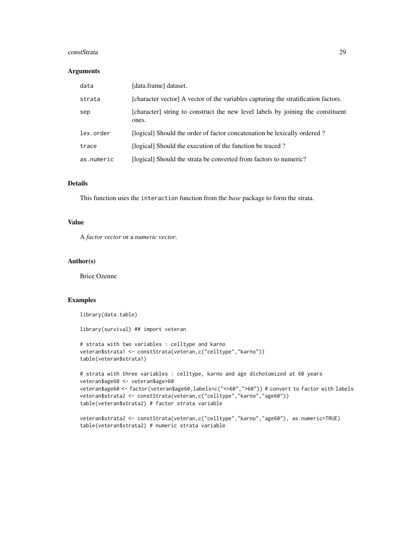#### constStrata 29

#### Arguments

| data       | [data.frame] dataset.                                                                    |
|------------|------------------------------------------------------------------------------------------|
| strata     | [character vector] A vector of the variables capturing the stratification factors.       |
| sep        | [character] string to construct the new level labels by joining the constituent<br>ones. |
| lex.order  | [logical] Should the order of factor concatenation be lexically ordered?                 |
| trace      | [logical] Should the execution of the function be traced?                                |
| as.numeric | [logical] Should the strata be converted from factors to numeric?                        |

### Details

This function uses the interaction function from the *base* package to form the strata.

#### Value

A *factor vector* or a *numeric vector*.

#### Author(s)

Brice Ozenne

### Examples

library(data.table)

library(survival) ## import veteran

```
# strata with two variables : celltype and karno
veteran$strata1 <- constStrata(veteran,c("celltype","karno"))
table(veteran$strata1)
```

```
# strata with three variables : celltype, karno and age dichotomized at 60 years
veteran$age60 <- veteran$age>60
veteran$age60 <- factor(veteran$age60,labels=c("<=60",">60")) # convert to factor with labels
veteran$strata2 <- constStrata(veteran,c("celltype","karno","age60"))
table(veteran$strata2) # factor strata variable
```

```
veteran$strata2 <- constStrata(veteran,c("celltype","karno","age60"), as.numeric=TRUE)
table(veteran$strata2) # numeric strata variable
```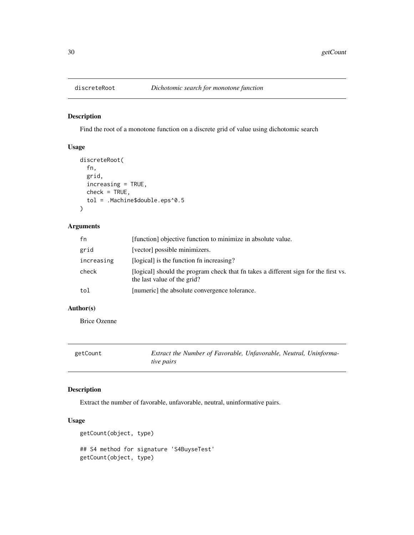<span id="page-29-0"></span>

### Description

Find the root of a monotone function on a discrete grid of value using dichotomic search

### Usage

```
discreteRoot(
  fn,
  grid,
  increasing = TRUE,
  check = TRUE,tol = .Machine$double.eps^0.5
\mathcal{L}
```
### Arguments

| fn         | [function] objective function to minimize in absolute value.                                                       |
|------------|--------------------------------------------------------------------------------------------------------------------|
| grid       | [vector] possible minimizers.                                                                                      |
| increasing | [logical] is the function fn increasing?                                                                           |
| check      | [logical] should the program check that fn takes a different sign for the first vs.<br>the last value of the grid? |
| tol        | [numeric] the absolute convergence tolerance.                                                                      |

### Author(s)

Brice Ozenne

| getCount | Extract the Number of Favorable, Unfavorable, Neutral, Uninforma- |  |
|----------|-------------------------------------------------------------------|--|
|          | tive pairs                                                        |  |

### Description

Extract the number of favorable, unfavorable, neutral, uninformative pairs.

```
getCount(object, type)
## S4 method for signature 'S4BuyseTest'
getCount(object, type)
```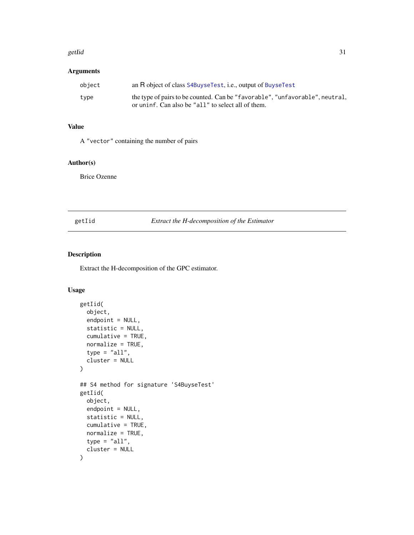#### <span id="page-30-0"></span>getIid 31

### Arguments

| object | an R object of class S4BuyseTest, i.e., output of BuyseTest                  |
|--------|------------------------------------------------------------------------------|
| type   | the type of pairs to be counted. Can be "favorable", "unfavorable", neutral, |
|        | or uninf. Can also be "all" to select all of them.                           |

### Value

A "vector" containing the number of pairs

### Author(s)

Brice Ozenne

#### getIid *Extract the H-decomposition of the Estimator*

### Description

Extract the H-decomposition of the GPC estimator.

```
getIid(
 object,
  endpoint = NULL,
  statistic = NULL,
  cumulative = TRUE,
  normalize = TRUE,
  type = "all",cluster = NULL
)
## S4 method for signature 'S4BuyseTest'
getIid(
 object,
  endpoint = NULL,
  statistic = NULL,
  cumulative = TRUE,
  normalize = TRUE,
  type = "all",cluster = NULL
\mathcal{L}
```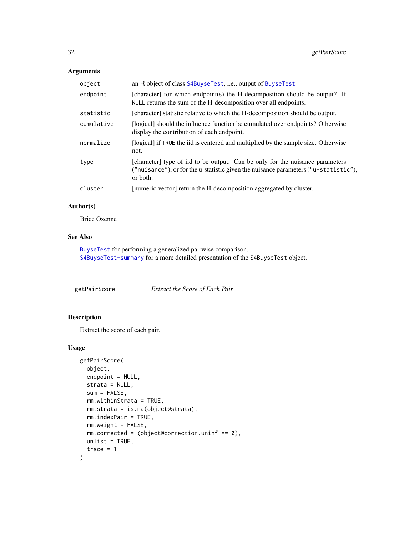### <span id="page-31-0"></span>Arguments

| object     | an R object of class S4BuyseTest, i.e., output of BuyseTest                                                                                                                      |
|------------|----------------------------------------------------------------------------------------------------------------------------------------------------------------------------------|
| endpoint   | [character] for which endpoint(s) the H-decomposition should be output? If<br>NULL returns the sum of the H-decomposition over all endpoints.                                    |
| statistic  | [character] statistic relative to which the H-decomposition should be output.                                                                                                    |
| cumulative | [logical] should the influence function be cumulated over endpoints? Otherwise<br>display the contribution of each endpoint.                                                     |
| normalize  | [logical] if TRUE the iid is centered and multiplied by the sample size. Otherwise<br>not.                                                                                       |
| type       | [character] type of iid to be output. Can be only for the nuisance parameters<br>("nuisance"), or for the u-statistic given the nuisance parameters ("u-statistic"),<br>or both. |
| cluster    | [numeric vector] return the H-decomposition aggregated by cluster.                                                                                                               |
|            |                                                                                                                                                                                  |

### Author(s)

Brice Ozenne

#### See Also

[BuyseTest](#page-15-1) for performing a generalized pairwise comparison. [S4BuyseTest-summary](#page-55-1) for a more detailed presentation of the S4BuyseTest object.

getPairScore *Extract the Score of Each Pair*

### Description

Extract the score of each pair.

```
getPairScore(
 object,
 endpoint = NULL,
  strata = NULL,
  sum = FALSE,rm.withinStrata = TRUE,
  rm.strata = is.na(object@strata),
  rm.indexPair = TRUE,
  rm.weight = FALSE,
  rm.corrected = (object@correction.uninf == 0),unlist = TRUE,trace = 1\mathcal{L}
```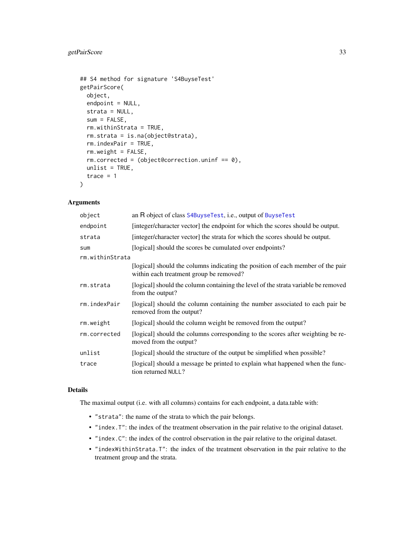### <span id="page-32-0"></span>getPairScore 33

```
## S4 method for signature 'S4BuyseTest'
getPairScore(
 object,
  endpoint = NULL,strata = NULL,
 sum = FALSE,
 rm.withinStrata = TRUE,
  rm.strata = is.na(object@strata),
 rm.indexPair = TRUE,
 rm.weight = FALSE,
  rm.corrected = (object@correction.uninf == 0),unlist = TRUE,trace = 1)
```
### Arguments

| object          | an R object of class S4BuyseTest, i.e., output of BuyseTest                                                                |
|-----------------|----------------------------------------------------------------------------------------------------------------------------|
| endpoint        | [integer/character vector] the endpoint for which the scores should be output.                                             |
| strata          | [integer/character vector] the strata for which the scores should be output.                                               |
| sum             | [logical] should the scores be cumulated over endpoints?                                                                   |
| rm.withinStrata |                                                                                                                            |
|                 | [logical] should the columns indicating the position of each member of the pair<br>within each treatment group be removed? |
| rm.strata       | [logical] should the column containing the level of the strata variable be removed<br>from the output?                     |
| rm.indexPair    | [logical] should the column containing the number associated to each pair be<br>removed from the output?                   |
| rm.weight       | [logical] should the column weight be removed from the output?                                                             |
| rm.corrected    | [logical] should the columns corresponding to the scores after weighting be re-<br>moved from the output?                  |
| unlist          | [logical] should the structure of the output be simplified when possible?                                                  |
| trace           | [logical] should a message be printed to explain what happened when the func-<br>tion returned NULL?                       |

### Details

The maximal output (i.e. with all columns) contains for each endpoint, a data.table with:

- "strata": the name of the strata to which the pair belongs.
- "index.T": the index of the treatment observation in the pair relative to the original dataset.
- "index.C": the index of the control observation in the pair relative to the original dataset.
- "indexWithinStrata.T": the index of the treatment observation in the pair relative to the treatment group and the strata.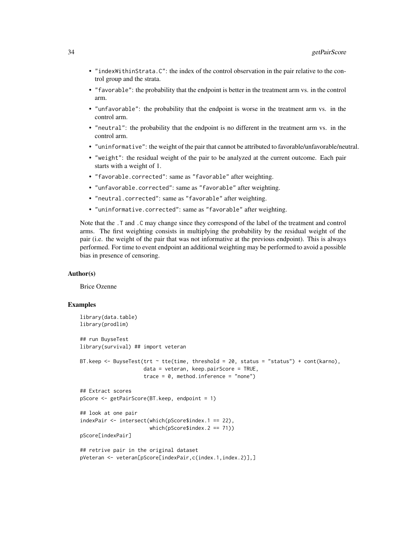- "indexWithinStrata.C": the index of the control observation in the pair relative to the control group and the strata.
- "favorable": the probability that the endpoint is better in the treatment arm vs. in the control arm.
- "unfavorable": the probability that the endpoint is worse in the treatment arm vs. in the control arm.
- "neutral": the probability that the endpoint is no different in the treatment arm vs. in the control arm.
- "uninformative": the weight of the pair that cannot be attributed to favorable/unfavorable/neutral.
- "weight": the residual weight of the pair to be analyzed at the current outcome. Each pair starts with a weight of 1.
- "favorable.corrected": same as "favorable" after weighting.
- "unfavorable.corrected": same as "favorable" after weighting.
- "neutral.corrected": same as "favorable" after weighting.
- "uninformative.corrected": same as "favorable" after weighting.

Note that the .T and .C may change since they correspond of the label of the treatment and control arms. The first weighting consists in multiplying the probability by the residual weight of the pair (i.e. the weight of the pair that was not informative at the previous endpoint). This is always performed. For time to event endpoint an additional weighting may be performed to avoid a possible bias in presence of censoring.

#### Author(s)

Brice Ozenne

#### Examples

```
library(data.table)
library(prodlim)
## run BuyseTest
library(survival) ## import veteran
BT.keep <- BuyseTest(trt ~ tte(time, threshold = 20, status = "status") + cont(karno),
                     data = veteran, keep.pairScore = TRUE,
                     trace = 0, method.inference = "none")
## Extract scores
pScore <- getPairScore(BT.keep, endpoint = 1)
## look at one pair
indexPair <- intersect(which(pScore$index.1 == 22),
                       which(pScore$index.2 == 71))
pScore[indexPair]
## retrive pair in the original dataset
pVeteran <- veteran[pScore[indexPair,c(index.1,index.2)],]
```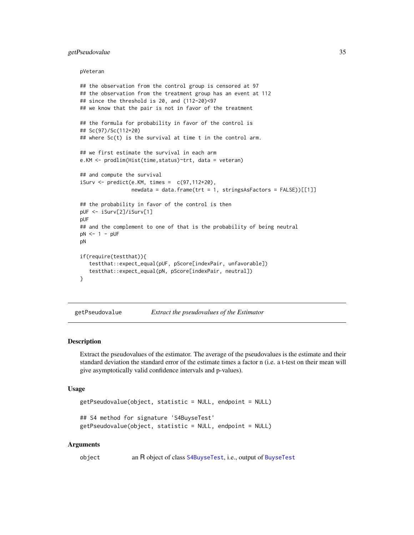#### <span id="page-34-0"></span>getPseudovalue 35

#### pVeteran

```
## the observation from the control group is censored at 97
## the observation from the treatment group has an event at 112
## since the threshold is 20, and (112-20)<97
## we know that the pair is not in favor of the treatment
## the formula for probability in favor of the control is
## Sc(97)/Sc(112+20)
## where Sc(t) is the survival at time t in the control arm.
## we first estimate the survival in each arm
e.KM <- prodlim(Hist(time,status)~trt, data = veteran)
## and compute the survival
iSurv \leftarrow predict(e.KM, times = c(97, 112+20),newdata = data.frame(trt = 1, stringsAsFactors = FALSE))[[1]]
## the probability in favor of the control is then
pUF <- iSurv[2]/iSurv[1]
pUF
## and the complement to one of that is the probability of being neutral
pN < -1 - pUFpN
if(require(testthat)){
   testthat::expect_equal(pUF, pScore[indexPair, unfavorable])
   testthat::expect_equal(pN, pScore[indexPair, neutral])
}
```
getPseudovalue *Extract the pseudovalues of the Estimator*

#### **Description**

Extract the pseudovalues of the estimator. The average of the pseudovalues is the estimate and their standard deviation the standard error of the estimate times a factor n (i.e. a t-test on their mean will give asymptotically valid confidence intervals and p-values).

#### Usage

```
getPseudovalue(object, statistic = NULL, endpoint = NULL)
## S4 method for signature 'S4BuyseTest'
getPseudovalue(object, statistic = NULL, endpoint = NULL)
```
#### Arguments

object an R object of class [S4BuyseTest](#page-51-1), i.e., output of [BuyseTest](#page-15-1)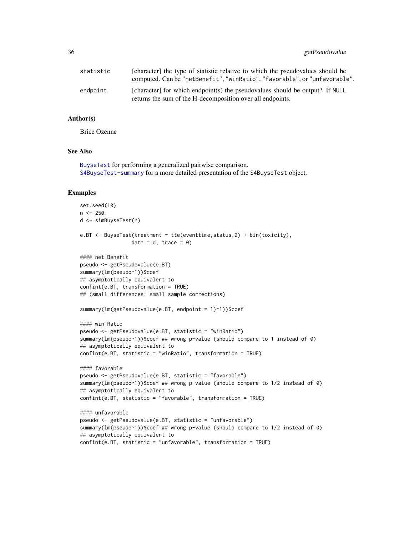| statistic | [character] the type of statistic relative to which the pseudovalues should be<br>computed. Can be "netBenefit", "winRatio", "favorable", or "unfavorable". |
|-----------|-------------------------------------------------------------------------------------------------------------------------------------------------------------|
| endpoint  | [character] for which endpoint(s) the pseudovalues should be output? If NULL<br>returns the sum of the H-decomposition over all endpoints.                  |

### Author(s)

Brice Ozenne

#### See Also

[BuyseTest](#page-15-1) for performing a generalized pairwise comparison. [S4BuyseTest-summary](#page-55-1) for a more detailed presentation of the S4BuyseTest object.

### Examples

```
set.seed(10)
n <- 250
d <- simBuyseTest(n)
e.BT <- BuyseTest(treatment ~ tte(eventtime,status,2) + bin(toxicity),
                 data = d, trace = \theta)
#### net Benefit
pseudo <- getPseudovalue(e.BT)
summary(lm(pseudo~1))$coef
## asymptotically equivalent to
confint(e.BT, transformation = TRUE)
## (small differences: small sample corrections)
summary(lm(getPseudovalue(e.BT, endpoint = 1)~1))$coef
#### win Ratio
pseudo <- getPseudovalue(e.BT, statistic = "winRatio")
summary(lm(pseudo~1))$coef ## wrong p-value (should compare to 1 instead of 0)
## asymptotically equivalent to
confint(e.BT, statistic = "winRatio", transformation = TRUE)
#### favorable
pseudo <- getPseudovalue(e.BT, statistic = "favorable")
summary(lm(pseudo~1))$coef ## wrong p-value (should compare to 1/2 instead of 0)
## asymptotically equivalent to
confint(e.BT, statistic = "favorable", transformation = TRUE)
#### unfavorable
pseudo <- getPseudovalue(e.BT, statistic = "unfavorable")
summary(lm(pseudo~1))$coef ## wrong p-value (should compare to 1/2 instead of 0)
## asymptotically equivalent to
confint(e.BT, statistic = "unfavorable", transformation = TRUE)
```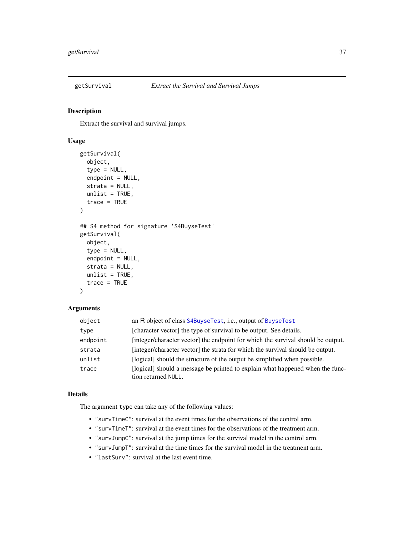<span id="page-36-0"></span>

### Description

Extract the survival and survival jumps.

### Usage

```
getSurvival(
  object,
  type = NULL,
  endpoint = NULL,strata = NULL,
  unlist = TRUE,trace = TRUE\lambda## S4 method for signature 'S4BuyseTest'
getSurvival(
  object,
  type = NULL,
  endpoint = NULL,strata = NULL,
  unlist = TRUE,
  trace = TRUE
\lambda
```
### Arguments

| object   | an R object of class S4BuyseTest, i.e., output of BuyseTest                                          |
|----------|------------------------------------------------------------------------------------------------------|
| type     | [character vector] the type of survival to be output. See details.                                   |
| endpoint | [integer/character vector] the endpoint for which the survival should be output.                     |
| strata   | [integer/character vector] the strata for which the survival should be output.                       |
| unlist   | [logical] should the structure of the output be simplified when possible.                            |
| trace    | [logical] should a message be printed to explain what happened when the func-<br>tion returned NULL. |

### Details

The argument type can take any of the following values:

- "survTimeC": survival at the event times for the observations of the control arm.
- "survTimeT": survival at the event times for the observations of the treatment arm.
- "survJumpC": survival at the jump times for the survival model in the control arm.
- "survJumpT": survival at the time times for the survival model in the treatment arm.
- "lastSurv": survival at the last event time.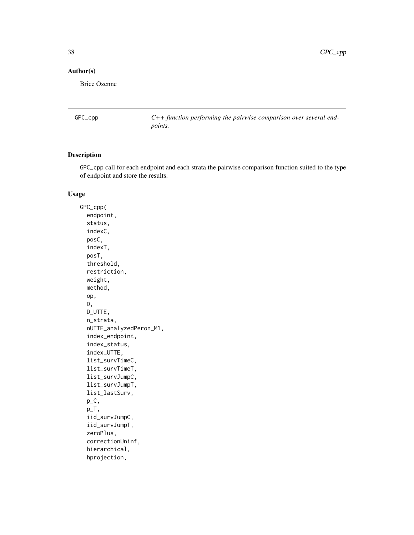### <span id="page-37-0"></span>Author(s)

Brice Ozenne

GPC\_cpp *C++ function performing the pairwise comparison over several endpoints.*

#### Description

GPC\_cpp call for each endpoint and each strata the pairwise comparison function suited to the type of endpoint and store the results.

### Usage

GPC\_cpp( endpoint, status, indexC, posC, indexT, posT, threshold, restriction, weight, method, op, D, D\_UTTE, n\_strata, nUTTE\_analyzedPeron\_M1, index\_endpoint, index\_status, index\_UTTE, list\_survTimeC, list\_survTimeT, list\_survJumpC, list\_survJumpT, list\_lastSurv, p\_C,  $p_T$ , iid\_survJumpC, iid\_survJumpT, zeroPlus, correctionUninf, hierarchical, hprojection,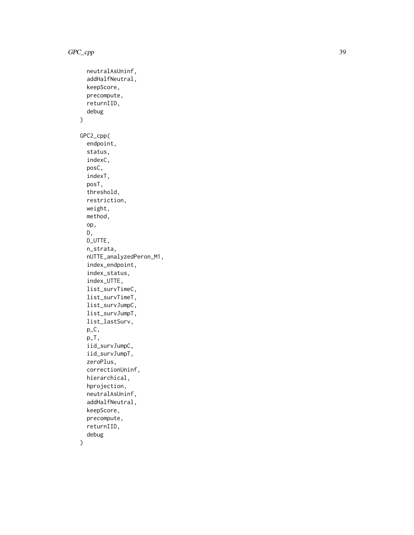```
neutralAsUninf,
  addHalfNeutral,
  keepScore,
 precompute,
  returnIID,
  debug
\mathcal{L}GPC2_cpp(
  endpoint,
  status,
  indexC,
  posC,
  indexT,
  posT,
  threshold,
  restriction,
 weight,
 method,
  op,
 D,
  D_UTTE,
  n_strata,
  nUTTE_analyzedPeron_M1,
  index_endpoint,
  index_status,
  index_UTTE,
  list_survTimeC,
  list_survTimeT,
  list_survJumpC,
  list_survJumpT,
  list_lastSurv,
  p_C,
 p_T,
  iid_survJumpC,
  iid_survJumpT,
  zeroPlus,
  correctionUninf,
  hierarchical,
  hprojection,
  neutralAsUninf,
  addHalfNeutral,
  keepScore,
  precompute,
  returnIID,
  debug
```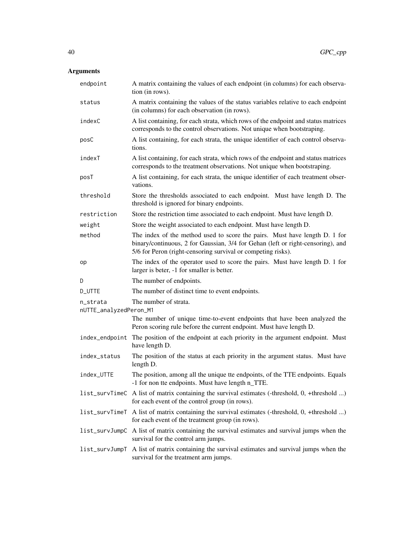| endpoint                           | A matrix containing the values of each endpoint (in columns) for each observa-<br>tion (in rows).                                                                                                                             |
|------------------------------------|-------------------------------------------------------------------------------------------------------------------------------------------------------------------------------------------------------------------------------|
| status                             | A matrix containing the values of the status variables relative to each endpoint<br>(in columns) for each observation (in rows).                                                                                              |
| indexC                             | A list containing, for each strata, which rows of the endpoint and status matrices<br>corresponds to the control observations. Not unique when bootstraping.                                                                  |
| posC                               | A list containing, for each strata, the unique identifier of each control observa-<br>tions.                                                                                                                                  |
| indexT                             | A list containing, for each strata, which rows of the endpoint and status matrices<br>corresponds to the treatment observations. Not unique when bootstraping.                                                                |
| posT                               | A list containing, for each strata, the unique identifier of each treatment obser-<br>vations.                                                                                                                                |
| threshold                          | Store the thresholds associated to each endpoint. Must have length D. The<br>threshold is ignored for binary endpoints.                                                                                                       |
| restriction                        | Store the restriction time associated to each endpoint. Must have length D.                                                                                                                                                   |
| weight                             | Store the weight associated to each endpoint. Must have length D.                                                                                                                                                             |
| method                             | The index of the method used to score the pairs. Must have length D. 1 for<br>binary/continuous, 2 for Gaussian, 3/4 for Gehan (left or right-censoring), and<br>5/6 for Peron (right-censoring survival or competing risks). |
| op                                 | The index of the operator used to score the pairs. Must have length D. 1 for<br>larger is beter, -1 for smaller is better.                                                                                                    |
| D                                  | The number of endpoints.                                                                                                                                                                                                      |
| <b>D_UTTE</b>                      | The number of distinct time to event endpoints.                                                                                                                                                                               |
| n_strata<br>nUTTE_analyzedPeron_M1 | The number of strata.                                                                                                                                                                                                         |
|                                    | The number of unique time-to-event endpoints that have been analyzed the<br>Peron scoring rule before the current endpoint. Must have length D.                                                                               |
| index_endpoint                     | The position of the endpoint at each priority in the argument endpoint. Must<br>have length D.                                                                                                                                |
| index_status                       | The position of the status at each priority in the argument status. Must have<br>length D.                                                                                                                                    |
| index_UTTE                         | The position, among all the unique tte endpoints, of the TTE endpoints. Equals<br>-1 for non tte endpoints. Must have length n_TTE.                                                                                           |
| list_survTimeC                     | A list of matrix containing the survival estimates (-threshold, 0, +threshold )<br>for each event of the control group (in rows).                                                                                             |
| list_survTimeT                     | A list of matrix containing the survival estimates (-threshold, 0, +threshold )<br>for each event of the treatment group (in rows).                                                                                           |
| list_survJumpC                     | A list of matrix containing the survival estimates and survival jumps when the<br>survival for the control arm jumps.                                                                                                         |
| list_survJumpT                     | A list of matrix containing the survival estimates and survival jumps when the<br>survival for the treatment arm jumps.                                                                                                       |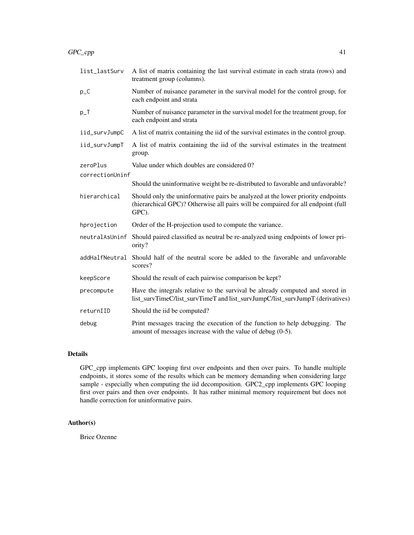| list_lastSurv   | A list of matrix containing the last survival estimate in each strata (rows) and<br>treatment group (columns).                                                               |
|-----------------|------------------------------------------------------------------------------------------------------------------------------------------------------------------------------|
| $p_C$           | Number of nuisance parameter in the survival model for the control group, for<br>each endpoint and strata                                                                    |
| $p_T$           | Number of nuisance parameter in the survival model for the treatment group, for<br>each endpoint and strata                                                                  |
| iid_survJumpC   | A list of matrix containing the iid of the survival estimates in the control group.                                                                                          |
| iid_survJumpT   | A list of matrix containing the iid of the survival estimates in the treatment<br>group.                                                                                     |
| zeroPlus        | Value under which doubles are considered 0?                                                                                                                                  |
| correctionUninf |                                                                                                                                                                              |
|                 | Should the uninformative weight be re-distributed to favorable and unfavorable?                                                                                              |
| hierarchical    | Should only the uninformative pairs be analyzed at the lower priority endpoints<br>(hierarchical GPC)? Otherwise all pairs will be compaired for all endpoint (full<br>GPC). |
| hprojection     | Order of the H-projection used to compute the variance.                                                                                                                      |
| neutralAsUninf  | Should paired classified as neutral be re-analyzed using endpoints of lower pri-<br>ority?                                                                                   |
| addHalfNeutral  | Should half of the neutral score be added to the favorable and unfavorable<br>scores?                                                                                        |
| keepScore       | Should the result of each pairwise comparison be kept?                                                                                                                       |
| precompute      | Have the integrals relative to the survival be already computed and stored in<br>list_survTimeC/list_survTimeT and list_survJumpC/list_survJumpT (derivatives)               |
| returnIID       | Should the iid be computed?                                                                                                                                                  |
| debug           | Print messages tracing the execution of the function to help debugging. The<br>amount of messages increase with the value of debug $(0-5)$ .                                 |

### Details

GPC\_cpp implements GPC looping first over endpoints and then over pairs. To handle multiple endpoints, it stores some of the results which can be memory demanding when considering large sample - especially when computing the iid decomposition. GPC2\_cpp implements GPC looping first over pairs and then over endpoints. It has rather minimal memory requirement but does not handle correction for uninformative pairs.

### Author(s)

Brice Ozenne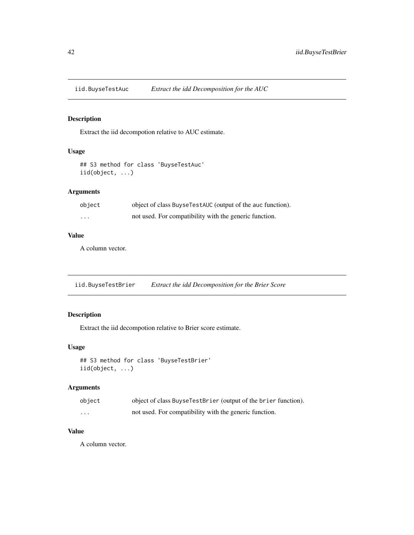<span id="page-41-0"></span>iid.BuyseTestAuc *Extract the idd Decomposition for the AUC*

### Description

Extract the iid decompotion relative to AUC estimate.

### Usage

```
## S3 method for class 'BuyseTestAuc'
iid(object, ...)
```
### Arguments

| object  | object of class Buyse TestAUC (output of the auc function). |
|---------|-------------------------------------------------------------|
| $\cdot$ | not used. For compatibility with the generic function.      |

#### Value

A column vector.

iid.BuyseTestBrier *Extract the idd Decomposition for the Brier Score*

### Description

Extract the iid decompotion relative to Brier score estimate.

### Usage

```
## S3 method for class 'BuyseTestBrier'
iid(object, ...)
```
### Arguments

| object | object of class BuyseTestBrier (output of the brier function). |
|--------|----------------------------------------------------------------|
| .      | not used. For compatibility with the generic function.         |

### Value

A column vector.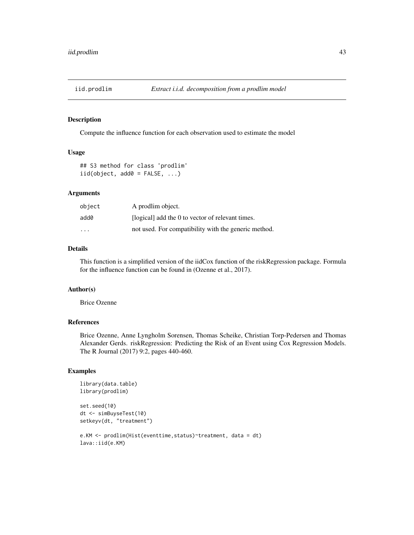<span id="page-42-0"></span>

### Description

Compute the influence function for each observation used to estimate the model

### Usage

```
## S3 method for class 'prodlim'
iid(object, add0 = FALSE, ...)
```
### Arguments

| object                  | A prodlim object.                                    |
|-------------------------|------------------------------------------------------|
| add0                    | [logical] add the 0 to vector of relevant times.     |
| $\cdot$ $\cdot$ $\cdot$ | not used. For compatibility with the generic method. |

### Details

This function is a simplified version of the iidCox function of the riskRegression package. Formula for the influence function can be found in (Ozenne et al., 2017).

### Author(s)

Brice Ozenne

### References

Brice Ozenne, Anne Lyngholm Sorensen, Thomas Scheike, Christian Torp-Pedersen and Thomas Alexander Gerds. riskRegression: Predicting the Risk of an Event using Cox Regression Models. The R Journal (2017) 9:2, pages 440-460.

### Examples

```
library(data.table)
library(prodlim)
```

```
set.seed(10)
dt <- simBuyseTest(10)
setkeyv(dt, "treatment")
```

```
e.KM <- prodlim(Hist(eventtime,status)~treatment, data = dt)
lava::iid(e.KM)
```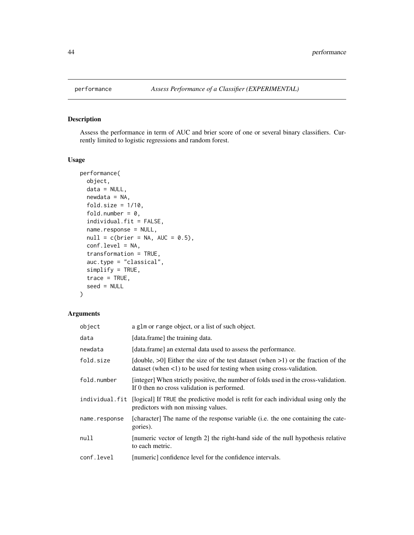<span id="page-43-1"></span><span id="page-43-0"></span>

### Description

Assess the performance in term of AUC and brier score of one or several binary classifiers. Currently limited to logistic regressions and random forest.

### Usage

```
performance(
  object,
 data = NULL,
 newdata = NA,
  fold.size = 1/10,
  fold.number = 0,
  individual.fit = FALSE,
  name.response = NULL,
 null = c(brier = NA, AUC = 0.5),
  conf.level = NA,
  transformation = TRUE,
  auc.type = "classical",
  simplify = TRUE,
  trace = TRUE,
  seed = NULL
\mathcal{L}
```

| object        | a glm or range object, or a list of such object.                                                                                                                        |
|---------------|-------------------------------------------------------------------------------------------------------------------------------------------------------------------------|
| data          | [data.frame] the training data.                                                                                                                                         |
| newdata       | [data.frame] an external data used to assess the performance.                                                                                                           |
| fold.size     | [double, $>0$ ] Either the size of the test dataset (when $>1$ ) or the fraction of the<br>dataset (when $\leq 1$ ) to be used for testing when using cross-validation. |
| fold.number   | [integer] When strictly positive, the number of folds used in the cross-validation.<br>If 0 then no cross validation is performed.                                      |
|               | individual fit [logical] If TRUE the predictive model is refit for each individual using only the<br>predictors with non missing values.                                |
| name.response | [character] The name of the response variable (i.e. the one containing the cate-<br>gories).                                                                            |
| null          | [numeric vector of length 2] the right-hand side of the null hypothesis relative<br>to each metric.                                                                     |
| conf.level    | [numeric] confidence level for the confidence intervals.                                                                                                                |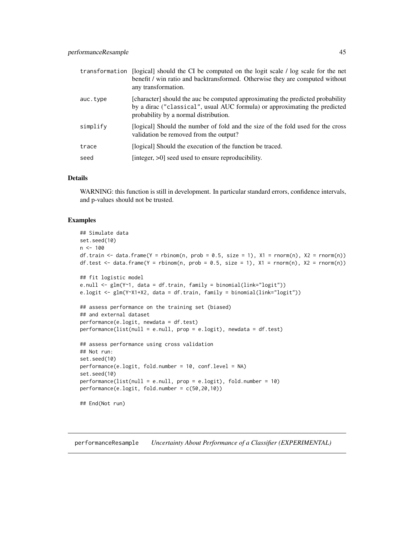<span id="page-44-0"></span>

| transformation | [logical] should the CI be computed on the logit scale / log scale for the net<br>benefit / win ratio and backtransformed. Otherwise they are computed without<br>any transformation.                 |
|----------------|-------------------------------------------------------------------------------------------------------------------------------------------------------------------------------------------------------|
| auc.type       | [character] should the auc be computed approximating the predicted probability<br>by a dirac ("classical", usual AUC formula) or approximating the predicted<br>probability by a normal distribution. |
| simplify       | [logical] Should the number of fold and the size of the fold used for the cross<br>validation be removed from the output?                                                                             |
| trace          | [logical] Should the execution of the function be traced.                                                                                                                                             |
| seed           | [integer, $>0$ ] seed used to ensure reproducibility.                                                                                                                                                 |

### Details

WARNING: this function is still in development. In particular standard errors, confidence intervals, and p-values should not be trusted.

### Examples

```
## Simulate data
set.seed(10)
n < -100df.train <- data.frame(Y = rbinom(n, prob = 0.5, size = 1), X1 = rnorm(n), X2 = rnorm(n))
df.test <- data.frame(Y = rbinom(n, prob = 0.5, size = 1), X1 = rnorm(n), X2 = rnorm(n))
## fit logistic model
e.null <- glm(Y~1, data = df.train, family = binomial(link="logit"))
e.logit <- glm(Y~X1+X2, data = df.train, family = binomial(link="logit"))
## assess performance on the training set (biased)
## and external dataset
performance(e.logit, newdata = df.test)
performance(list(null = e.null, prop = e.logit), newdata = df.test)
## assess performance using cross validation
## Not run:
set.seed(10)
performance(e.logit, fold.number = 10, conf.level = NA)
set.seed(10)
performance(list(null = e.null, prop = e.logit), fold.number = 10)
performance(e.logit, fold.number = c(50,20,10))
## End(Not run)
```
performanceResample *Uncertainty About Performance of a Classifier (EXPERIMENTAL)*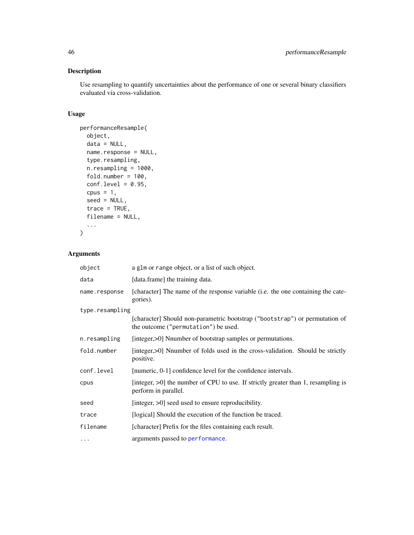### <span id="page-45-0"></span>Description

Use resampling to quantify uncertainties about the performance of one or several binary classifiers evaluated via cross-validation.

### Usage

```
performanceResample(
 object,
 data = NULL,name.response = NULL,
  type.resampling,
 n.resampling = 1000,
 fold.number = 100,conf.level = 0.95,cpus = 1,seed = NULL,
 trace = TRUE,filename = NULL,
  ...
)
```

| object          | a g1m or range object, or a list of such object.                                                                    |
|-----------------|---------------------------------------------------------------------------------------------------------------------|
| data            | [data.frame] the training data.                                                                                     |
| name.response   | [character] The name of the response variable (i.e. the one containing the cate-<br>gories).                        |
| type.resampling |                                                                                                                     |
|                 | [character] Should non-parametric bootstrap ("bootstrap") or permutation of<br>the outcome ("permutation") be used. |
| n.resampling    | [integer, >0] Nnumber of bootstrap samples or permutations.                                                         |
| fold.number     | [integer, >0] Nnumber of folds used in the cross-validation. Should be strictly<br>positive.                        |
| conf.level      | [numeric, 0-1] confidence level for the confidence intervals.                                                       |
| cpus            | [integer, >0] the number of CPU to use. If strictly greater than 1, resampling is<br>perform in parallel.           |
| seed            | [integer, >0] seed used to ensure reproducibility.                                                                  |
| trace           | [logical] Should the execution of the function be traced.                                                           |
| filename        | [character] Prefix for the files containing each result.                                                            |
| $\cdots$        | arguments passed to performance.                                                                                    |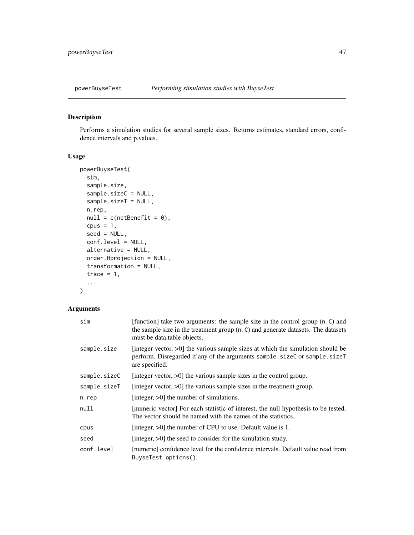<span id="page-46-1"></span><span id="page-46-0"></span>

### Description

Performs a simulation studies for several sample sizes. Returns estimates, standard errors, confidence intervals and p.values.

### Usage

```
powerBuyseTest(
  sim,
  sample.size,
  sample.sizeC = NULL,
  sample.sizeT = NULL,
 n.rep,
  null = c(netBenefit = 0),
  cpus = 1,seed = NULL,
  conf.level = NULL,
  alternative = NULL,
 order.Hprojection = NULL,
  transformation = NULL,
  trace = 1,
  ...
\mathcal{L}
```

| sim          | [function] take two arguments: the sample size in the control group (n.C) and<br>the sample size in the treatment group (n.C) and generate datasets. The datasets<br>must be data.table objects. |
|--------------|--------------------------------------------------------------------------------------------------------------------------------------------------------------------------------------------------|
| sample.size  | [integer vector, $>0$ ] the various sample sizes at which the simulation should be<br>perform. Disregarded if any of the arguments sample.sizeC or sample.sizeT<br>are specified.                |
| sample.sizeC | [integer vector, $>0$ ] the various sample sizes in the control group.                                                                                                                           |
| sample.sizeT | [integer vector, $>0$ ] the various sample sizes in the treatment group.                                                                                                                         |
| n.rep        | [integer, $>0$ ] the number of simulations.                                                                                                                                                      |
| null         | [numeric vector] For each statistic of interest, the null hypothesis to be tested.<br>The vector should be named with the names of the statistics.                                               |
| cpus         | [integer, >0] the number of CPU to use. Default value is 1.                                                                                                                                      |
| seed         | [integer, $>0$ ] the seed to consider for the simulation study.                                                                                                                                  |
| conf.level   | [numeric] confidence level for the confidence intervals. Default value read from<br>BuyseTest.options().                                                                                         |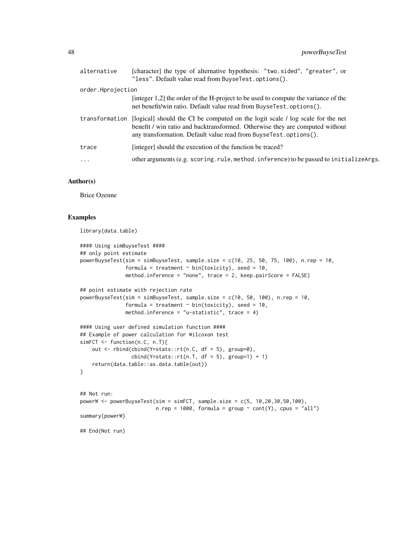| alternative       | [character] the type of alternative hypothesis: "two.sided", "greater", or<br>"less". Default value read from BuyseTest.options().                                                                                                 |
|-------------------|------------------------------------------------------------------------------------------------------------------------------------------------------------------------------------------------------------------------------------|
| order.Hprojection |                                                                                                                                                                                                                                    |
|                   | [integer 1,2] the order of the H-project to be used to compute the variance of the<br>net benefit/win ratio. Default value read from BuyseTest.options().                                                                          |
| transformation    | [logical] should the CI be computed on the logit scale / log scale for the net<br>benefit / win ratio and backtransformed. Otherwise they are computed without<br>any transformation. Default value read from BuyseTest.options(). |
| trace             | [integer] should the execution of the function be traced?                                                                                                                                                                          |
| $\cdots$          | other arguments (e.g. scoring.rule, method.inference) to be passed to initializeArgs.                                                                                                                                              |
|                   |                                                                                                                                                                                                                                    |

#### Author(s)

Brice Ozenne

#### Examples

library(data.table)

```
#### Using simBuyseTest ####
## only point estimate
powerBuyseTest(sim = simBuyseTest, sample.size = c(10, 25, 50, 75, 100), n.rep = 10,
               formula = treatment \sim bin(toxicity), seed = 10,
               method.inference = "none", trace = 2, keep.pairScore = FALSE)
## point estimate with rejection rate
powerBuyseTest(sim = simBuyseTest, sample.size = c(10, 50, 100), n.rep = 10,
               formula = treatment \sim bin(toxicity), seed = 10,
               method.inference = "u-statistic", trace = 4)
#### Using user defined simulation function ####
## Example of power calculation for Wilcoxon test
simFCT <- function(n.C, n.T){
    out <- rbind(cbind(Y=stats::rt(n.C, df = 5), group=0),
                 cbind(Y=stats::rt(n.T, df = 5), group=1) + 1)return(data.table::as.data.table(out))
}
## Not run:
powerW <- powerBuyseTest(sim = simFCT, sample.size = c(5, 10,20,30,50,100),
                         n.rep = 1000, formula = group \sim cont(Y), cpus = "all")
summary(powerW)
## End(Not run)
```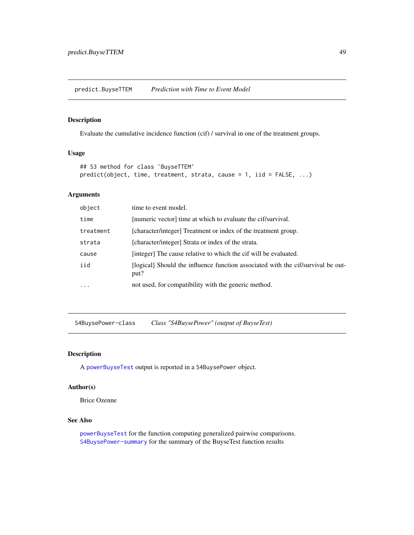<span id="page-48-0"></span>predict.BuyseTTEM *Prediction with Time to Event Model*

#### Description

Evaluate the cumulative incidence function (cif) / survival in one of the treatment groups.

### Usage

```
## S3 method for class 'BuyseTTEM'
predict(object, time, treatment, strata, cause = 1, iid = FALSE, ...)
```
### Arguments

| object    | time to event model.                                                                     |
|-----------|------------------------------------------------------------------------------------------|
| time      | [numeric vector] time at which to evaluate the cif/survival.                             |
| treatment | [character/integer] Treatment or index of the treatment group.                           |
| strata    | [character/integer] Strata or index of the strata.                                       |
| cause     | [integer] The cause relative to which the cif will be evaluated.                         |
| iid       | [logical] Should the influence function associated with the cif/survival be out-<br>put? |
| $\cdots$  | not used, for compatibility with the generic method.                                     |

S4BuysePower-class *Class "S4BuysePower" (output of BuyseTest)*

#### Description

A [powerBuyseTest](#page-46-1) output is reported in a S4BuysePower object.

### Author(s)

Brice Ozenne

### See Also

[powerBuyseTest](#page-46-1) for the function computing generalized pairwise comparisons. [S4BuysePower-summary](#page-49-1) for the summary of the BuyseTest function results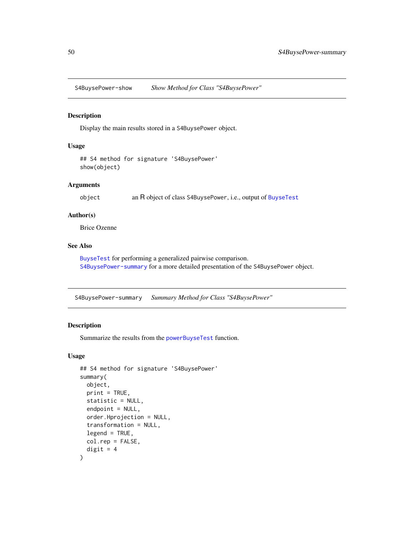<span id="page-49-0"></span>S4BuysePower-show *Show Method for Class "S4BuysePower"*

### Description

Display the main results stored in a S4BuysePower object.

#### Usage

```
## S4 method for signature 'S4BuysePower'
show(object)
```
#### Arguments

object an R object of class S4BuysePower, i.e., output of [BuyseTest](#page-15-1)

### Author(s)

Brice Ozenne

### See Also

[BuyseTest](#page-15-1) for performing a generalized pairwise comparison. [S4BuysePower-summary](#page-49-1) for a more detailed presentation of the S4BuysePower object.

<span id="page-49-1"></span>S4BuysePower-summary *Summary Method for Class "S4BuysePower"*

### Description

Summarize the results from the [powerBuyseTest](#page-46-1) function.

```
## S4 method for signature 'S4BuysePower'
summary(
 object,
 print = TRUE,
  statistic = NULL,
  endpoint = NULL,
  order.Hprojection = NULL,
  transformation = NULL,
  legend = TRUE,
 col.rep = FALSE,
  digit = 4)
```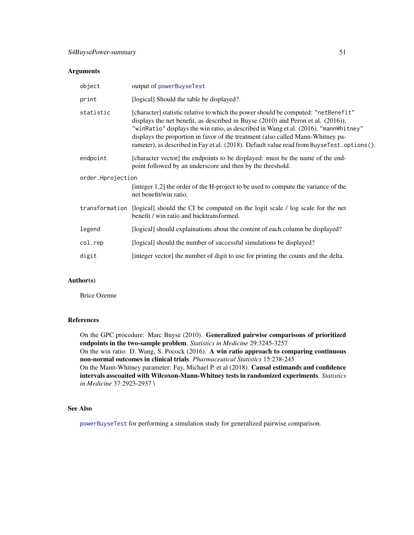#### <span id="page-50-0"></span>Arguments

| object            | output of powerBuyseTest                                                                                                                                                                                                                                                                                                                                                                                                                       |  |
|-------------------|------------------------------------------------------------------------------------------------------------------------------------------------------------------------------------------------------------------------------------------------------------------------------------------------------------------------------------------------------------------------------------------------------------------------------------------------|--|
| print             | [logical] Should the table be displayed?.                                                                                                                                                                                                                                                                                                                                                                                                      |  |
| statistic         | [character] statistic relative to which the power should be computed: "netBenefit"<br>displays the net benefit, as described in Buyse (2010) and Peron et al. (2016)),<br>"winRatio" displays the win ratio, as described in Wang et al. (2016), "mannWhitney"<br>displays the proportion in favor of the treatment (also called Mann-Whitney pa-<br>rameter), as described in Fay et al. (2018). Default value read from BuyseTest.options(). |  |
| endpoint          | [character vector] the endpoints to be displayed: must be the name of the end-<br>point followed by an underscore and then by the threshold.                                                                                                                                                                                                                                                                                                   |  |
| order.Hprojection |                                                                                                                                                                                                                                                                                                                                                                                                                                                |  |
|                   | [integer 1,2] the order of the H-project to be used to compute the variance of the<br>net benefit/win ratio.                                                                                                                                                                                                                                                                                                                                   |  |
|                   | transformation [logical] should the CI be computed on the logit scale / log scale for the net<br>benefit / win ratio and backtransformed.                                                                                                                                                                                                                                                                                                      |  |
| legend            | [logical] should explainations about the content of each column be displayed?                                                                                                                                                                                                                                                                                                                                                                  |  |
| col.rep           | [logical] should the number of successful simulations be displayed?                                                                                                                                                                                                                                                                                                                                                                            |  |
| digit             | [integer vector] the number of digit to use for printing the counts and the delta.                                                                                                                                                                                                                                                                                                                                                             |  |

### Author(s)

Brice Ozenne

### References

On the GPC procedure: Marc Buyse (2010). Generalized pairwise comparisons of prioritized endpoints in the two-sample problem. *Statistics in Medicine* 29:3245-3257 On the win ratio: D. Wang, S. Pocock (2016). A win ratio approach to comparing continuous non-normal outcomes in clinical trials. *Pharmaceutical Statistics* 15:238-245 On the Mann-Whitney parameter: Fay, Michael P. et al (2018). Causal estimands and confidence intervals asscoaited with Wilcoxon-Mann-Whitney tests in randomized experiments. *Statistics in Medicine* 37:2923-2937 \

### See Also

[powerBuyseTest](#page-46-1) for performing a simulation study for generalized pairwise comparison.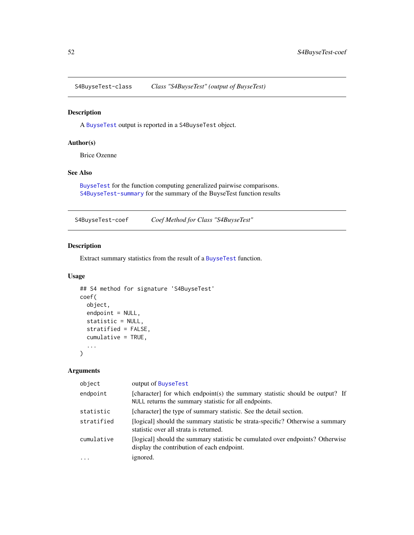<span id="page-51-1"></span><span id="page-51-0"></span>S4BuyseTest-class *Class "S4BuyseTest" (output of BuyseTest)*

### Description

A [BuyseTest](#page-15-1) output is reported in a S4BuyseTest object.

### Author(s)

Brice Ozenne

### See Also

[BuyseTest](#page-15-1) for the function computing generalized pairwise comparisons. [S4BuyseTest-summary](#page-55-1) for the summary of the BuyseTest function results

S4BuyseTest-coef *Coef Method for Class "S4BuyseTest"*

### Description

Extract summary statistics from the result of a [BuyseTest](#page-15-1) function.

### Usage

```
## S4 method for signature 'S4BuyseTest'
coef(
  object,
  endpoint = NULL,
  statistic = NULL,
  stratified = FALSE,
  cumulative = TRUE,
  ...
)
```

| object              | output of BuyseTest                                                                                                                   |
|---------------------|---------------------------------------------------------------------------------------------------------------------------------------|
| endpoint            | [character] for which endpoint(s) the summary statistic should be output? If<br>NULL returns the summary statistic for all endpoints. |
| statistic           | [character] the type of summary statistic. See the detail section.                                                                    |
| stratified          | [logical] should the summary statistic be strata-specific? Otherwise a summary<br>statistic over all strata is returned.              |
| cumulative          | [logical] should the summary statistic be cumulated over endpoints? Otherwise<br>display the contribution of each endpoint.           |
| $\cdot \cdot \cdot$ | ignored.                                                                                                                              |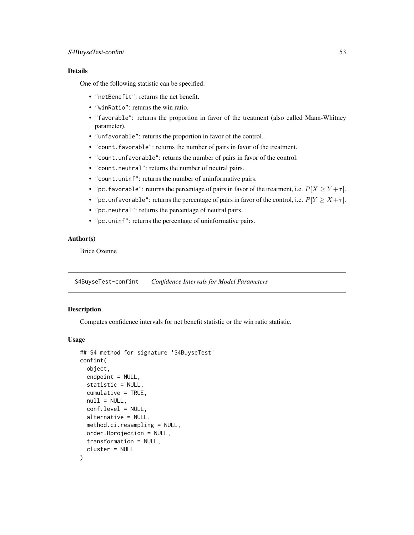### <span id="page-52-0"></span>S4BuyseTest-confint 53

#### Details

One of the following statistic can be specified:

- "netBenefit": returns the net benefit.
- "winRatio": returns the win ratio.
- "favorable": returns the proportion in favor of the treatment (also called Mann-Whitney parameter).
- "unfavorable": returns the proportion in favor of the control.
- "count.favorable": returns the number of pairs in favor of the treatment.
- "count.unfavorable": returns the number of pairs in favor of the control.
- "count.neutral": returns the number of neutral pairs.
- "count.uninf": returns the number of uninformative pairs.
- "pc. favorable": returns the percentage of pairs in favor of the treatment, i.e.  $P[X \ge Y + \tau]$ .
- "pc.unfavorable": returns the percentage of pairs in favor of the control, i.e.  $P[Y \ge X + \tau]$ .
- "pc.neutral": returns the percentage of neutral pairs.
- "pc.uninf": returns the percentage of uninformative pairs.

#### Author(s)

Brice Ozenne

<span id="page-52-1"></span>S4BuyseTest-confint *Confidence Intervals for Model Parameters*

#### **Description**

Computes confidence intervals for net benefit statistic or the win ratio statistic.

```
## S4 method for signature 'S4BuyseTest'
confint(
  object,
  endpoint = NULL,statistic = NULL,
  cumulative = TRUE,
  null = NULL,conf.level = NULL,
  alternative = NULL,
 method.ci.resampling = NULL,
 order.Hprojection = NULL,
  transformation = NULL,
  cluster = NULL
)
```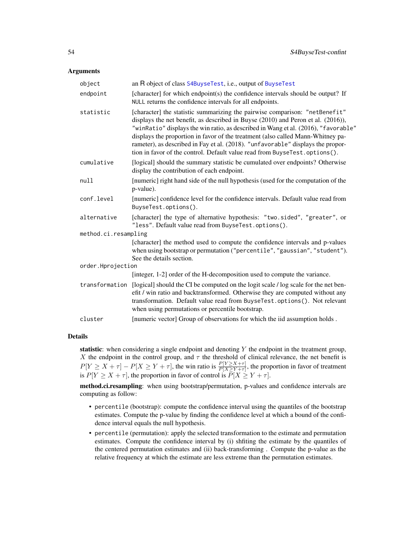#### <span id="page-53-0"></span>Arguments

| object               | an R object of class S4BuyseTest, i.e., output of BuyseTest                                                                                                                                                                                                                                                                                                                                                                                                                                               |
|----------------------|-----------------------------------------------------------------------------------------------------------------------------------------------------------------------------------------------------------------------------------------------------------------------------------------------------------------------------------------------------------------------------------------------------------------------------------------------------------------------------------------------------------|
| endpoint             | [character] for which endpoint(s) the confidence intervals should be output? If<br>NULL returns the confidence intervals for all endpoints.                                                                                                                                                                                                                                                                                                                                                               |
| statistic            | [character] the statistic summarizing the pairwise comparison: "netBenefit"<br>displays the net benefit, as described in Buyse (2010) and Peron et al. (2016)),<br>"winRatio" displays the win ratio, as described in Wang et al. (2016), "favorable"<br>displays the proportion in favor of the treatment (also called Mann-Whitney pa-<br>rameter), as described in Fay et al. (2018). "unfavorable" displays the propor-<br>tion in favor of the control. Default value read from BuyseTest.options(). |
| cumulative           | [logical] should the summary statistic be cumulated over endpoints? Otherwise<br>display the contribution of each endpoint.                                                                                                                                                                                                                                                                                                                                                                               |
| null                 | [numeric] right hand side of the null hypothesis (used for the computation of the<br>p-value).                                                                                                                                                                                                                                                                                                                                                                                                            |
| conf.level           | [numeric] confidence level for the confidence intervals. Default value read from<br>BuyseTest.options().                                                                                                                                                                                                                                                                                                                                                                                                  |
| alternative          | [character] the type of alternative hypothesis: "two.sided", "greater", or<br>"less". Default value read from BuyseTest.options().                                                                                                                                                                                                                                                                                                                                                                        |
| method.ci.resampling |                                                                                                                                                                                                                                                                                                                                                                                                                                                                                                           |
|                      | [character] the method used to compute the confidence intervals and p-values<br>when using bootstrap or permutation ("percentile", "gaussian", "student").<br>See the details section.                                                                                                                                                                                                                                                                                                                    |
| order.Hprojection    |                                                                                                                                                                                                                                                                                                                                                                                                                                                                                                           |
|                      | [integer, 1-2] order of the H-decomposition used to compute the variance.                                                                                                                                                                                                                                                                                                                                                                                                                                 |
| transformation       | [logical] should the CI be computed on the logit scale / log scale for the net ben-<br>efit / win ratio and backtransformed. Otherwise they are computed without any<br>transformation. Default value read from BuyseTest.options(). Not relevant<br>when using permutations or percentile bootstrap.                                                                                                                                                                                                     |
| cluster              | [numeric vector] Group of observations for which the iid assumption holds.                                                                                                                                                                                                                                                                                                                                                                                                                                |

#### Details

statistic: when considering a single endpoint and denoting Y the endpoint in the treatment group, X the endpoint in the control group, and  $\tau$  the threshold of clinical relevance, the net benefit is  $P[Y \ge X + \tau] - P[X \ge Y + \tau]$ , the win ratio is  $\frac{P[Y \ge X + \tau]}{P[X \ge Y + \tau]}$ , the proportion in favor of treatment is  $P[Y \ge X + \tau]$ , the proportion in favor of control is  $P[X \ge Y + \tau]$ .

method.ci.resampling: when using bootstrap/permutation, p-values and confidence intervals are computing as follow:

- percentile (bootstrap): compute the confidence interval using the quantiles of the bootstrap estimates. Compute the p-value by finding the confidence level at which a bound of the confidence interval equals the null hypothesis.
- percentile (permutation): apply the selected transformation to the estimate and permutation estimates. Compute the confidence interval by (i) shfiting the estimate by the quantiles of the centered permutation estimates and (ii) back-transforming . Compute the p-value as the relative frequency at which the estimate are less extreme than the permutation estimates.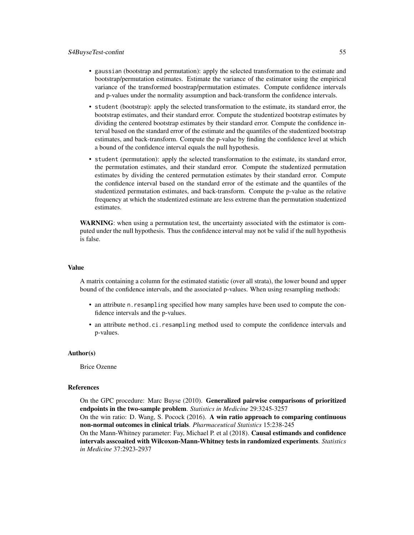- gaussian (bootstrap and permutation): apply the selected transformation to the estimate and bootstrap/permutation estimates. Estimate the variance of the estimator using the empirical variance of the transformed boostrap/permutation estimates. Compute confidence intervals and p-values under the normality assumption and back-transform the confidence intervals.
- student (bootstrap): apply the selected transformation to the estimate, its standard error, the bootstrap estimates, and their standard error. Compute the studentized bootstrap estimates by dividing the centered bootstrap estimates by their standard error. Compute the confidence interval based on the standard error of the estimate and the quantiles of the studentized bootstrap estimates, and back-transform. Compute the p-value by finding the confidence level at which a bound of the confidence interval equals the null hypothesis.
- student (permutation): apply the selected transformation to the estimate, its standard error, the permutation estimates, and their standard error. Compute the studentized permutation estimates by dividing the centered permutation estimates by their standard error. Compute the confidence interval based on the standard error of the estimate and the quantiles of the studentized permutation estimates, and back-transform. Compute the p-value as the relative frequency at which the studentized estimate are less extreme than the permutation studentized estimates.

WARNING: when using a permutation test, the uncertainty associated with the estimator is computed under the null hypothesis. Thus the confidence interval may not be valid if the null hypothesis is false.

#### Value

A matrix containing a column for the estimated statistic (over all strata), the lower bound and upper bound of the confidence intervals, and the associated p-values. When using resampling methods:

- an attribute n.resampling specified how many samples have been used to compute the confidence intervals and the p-values.
- an attribute method.ci.resampling method used to compute the confidence intervals and p-values.

#### Author(s)

Brice Ozenne

#### References

On the GPC procedure: Marc Buyse (2010). Generalized pairwise comparisons of prioritized endpoints in the two-sample problem. *Statistics in Medicine* 29:3245-3257 On the win ratio: D. Wang, S. Pocock (2016). A win ratio approach to comparing continuous non-normal outcomes in clinical trials. *Pharmaceutical Statistics* 15:238-245 On the Mann-Whitney parameter: Fay, Michael P. et al (2018). Causal estimands and confidence intervals asscoaited with Wilcoxon-Mann-Whitney tests in randomized experiments. *Statistics in Medicine* 37:2923-2937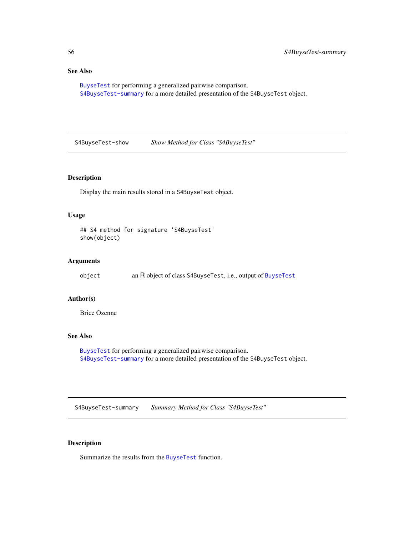### <span id="page-55-0"></span>See Also

[BuyseTest](#page-15-1) for performing a generalized pairwise comparison. [S4BuyseTest-summary](#page-55-1) for a more detailed presentation of the S4BuyseTest object.

S4BuyseTest-show *Show Method for Class "S4BuyseTest"*

### Description

Display the main results stored in a S4BuyseTest object.

### Usage

```
## S4 method for signature 'S4BuyseTest'
show(object)
```
### Arguments

object an R object of class S4BuyseTest, i.e., output of [BuyseTest](#page-15-1)

### Author(s)

Brice Ozenne

#### See Also

[BuyseTest](#page-15-1) for performing a generalized pairwise comparison. [S4BuyseTest-summary](#page-55-1) for a more detailed presentation of the S4BuyseTest object.

<span id="page-55-1"></span>S4BuyseTest-summary *Summary Method for Class "S4BuyseTest"*

### Description

Summarize the results from the [BuyseTest](#page-15-1) function.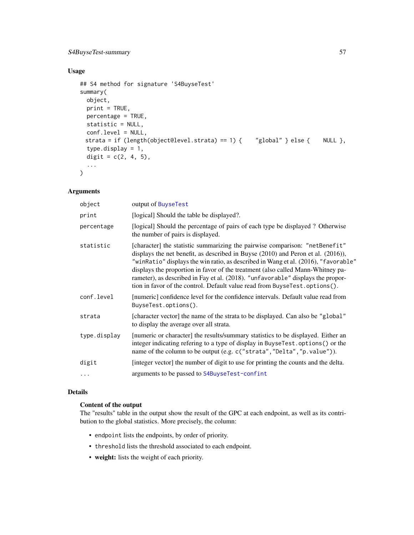### <span id="page-56-0"></span>S4BuyseTest-summary 57

### Usage

```
## S4 method for signature 'S4BuyseTest'
summary(
 object,
 print = TRUE,
 percentage = TRUE,
 statistic = NULL,
 conf.level = NULL,
 strata = if (length(object@level.strata) == 1) { "global" } else { NULL },
  type.display = 1,
 digit = c(2, 4, 5),
  ...
\mathcal{L}
```
### Arguments

| object       | output of BuyseTest                                                                                                                                                                                                                                                                                                                                                                                                                                                                                            |
|--------------|----------------------------------------------------------------------------------------------------------------------------------------------------------------------------------------------------------------------------------------------------------------------------------------------------------------------------------------------------------------------------------------------------------------------------------------------------------------------------------------------------------------|
| print        | [logical] Should the table be displayed?.                                                                                                                                                                                                                                                                                                                                                                                                                                                                      |
| percentage   | [logical] Should the percentage of pairs of each type be displayed ? Otherwise<br>the number of pairs is displayed.                                                                                                                                                                                                                                                                                                                                                                                            |
| statistic    | [character] the statistic summarizing the pairwise comparison: "netBenefit"<br>displays the net benefit, as described in Buyse $(2010)$ and Peron et al. $(2016)$ ),<br>"winRatio" displays the win ratio, as described in Wang et al. (2016), "favorable"<br>displays the proportion in favor of the treatment (also called Mann-Whitney pa-<br>rameter), as described in Fay et al. (2018). "unfavorable" displays the propor-<br>tion in favor of the control. Default value read from BuyseTest.options(). |
| conf.level   | [numeric] confidence level for the confidence intervals. Default value read from<br>BuyseTest.options().                                                                                                                                                                                                                                                                                                                                                                                                       |
| strata       | [character vector] the name of the strata to be displayed. Can also be "global"<br>to display the average over all strata.                                                                                                                                                                                                                                                                                                                                                                                     |
| type.display | [numeric or character] the results/summary statistics to be displayed. Either an<br>integer indicating refering to a type of display in BuyseTest.options() or the<br>name of the column to be output (e.g. c("strata", "Delta", "p. value")).                                                                                                                                                                                                                                                                 |
| digit        | [integer vector] the number of digit to use for printing the counts and the delta.                                                                                                                                                                                                                                                                                                                                                                                                                             |
| $\ddots$     | arguments to be passed to S4BuyseTest-confint                                                                                                                                                                                                                                                                                                                                                                                                                                                                  |
|              |                                                                                                                                                                                                                                                                                                                                                                                                                                                                                                                |

### Details

### Content of the output

The "results" table in the output show the result of the GPC at each endpoint, as well as its contribution to the global statistics. More precisely, the column:

- endpoint lists the endpoints, by order of priority.
- threshold lists the threshold associated to each endpoint.
- weight: lists the weight of each priority.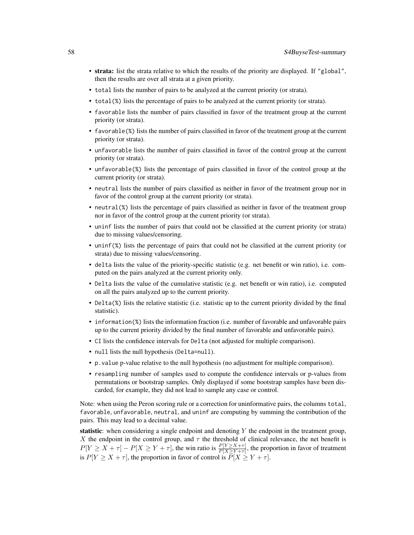- strata: list the strata relative to which the results of the priority are displayed. If "global", then the results are over all strata at a given priority.
- total lists the number of pairs to be analyzed at the current priority (or strata).
- total(%) lists the percentage of pairs to be analyzed at the current priority (or strata).
- favorable lists the number of pairs classified in favor of the treatment group at the current priority (or strata).
- favorable(%) lists the number of pairs classified in favor of the treatment group at the current priority (or strata).
- unfavorable lists the number of pairs classified in favor of the control group at the current priority (or strata).
- unfavorable(%) lists the percentage of pairs classified in favor of the control group at the current priority (or strata).
- neutral lists the number of pairs classified as neither in favor of the treatment group nor in favor of the control group at the current priority (or strata).
- neutral(%) lists the percentage of pairs classified as neither in favor of the treatment group nor in favor of the control group at the current priority (or strata).
- uninf lists the number of pairs that could not be classified at the current priority (or strata) due to missing values/censoring.
- uninf(%) lists the percentage of pairs that could not be classified at the current priority (or strata) due to missing values/censoring.
- delta lists the value of the priority-specific statistic (e.g. net benefit or win ratio), i.e. computed on the pairs analyzed at the current priority only.
- Delta lists the value of the cumulative statistic (e.g. net benefit or win ratio), i.e. computed on all the pairs analyzed up to the current priority.
- Delta(%) lists the relative statistic (i.e. statistic up to the current priority divided by the final statistic).
- information(%) lists the information fraction (i.e. number of favorable and unfavorable pairs up to the current priority divided by the final number of favorable and unfavorable pairs).
- CI lists the confidence intervals for Delta (not adjusted for multiple comparison).
- null lists the null hypothesis (Delta=null).
- p.value p-value relative to the null hypothesis (no adjustment for multiple comparison).
- resampling number of samples used to compute the confidence intervals or p-values from permutations or bootstrap samples. Only displayed if some bootstrap samples have been discarded, for example, they did not lead to sample any case or control.

Note: when using the Peron scoring rule or a correction for uninformative pairs, the columns total, favorable, unfavorable, neutral, and uninf are computing by summing the contribution of the pairs. This may lead to a decimal value.

statistic: when considering a single endpoint and denoting Y the endpoint in the treatment group, X the endpoint in the control group, and  $\tau$  the threshold of clinical relevance, the net benefit is  $P[Y \ge X + \tau] - P[X \ge Y + \tau]$ , the win ratio is  $\frac{P[Y \ge X + \tau]}{P[X \ge Y + \tau]}$ , the proportion in favor of treatment is  $P[Y \ge X + \tau]$ , the proportion in favor of control is  $\overline{P}[X \ge Y + \tau]$ .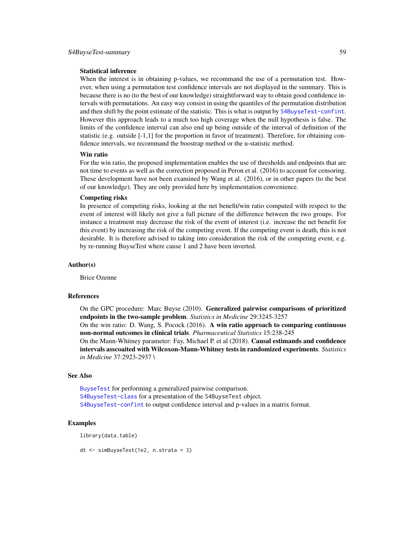#### <span id="page-58-0"></span>Statistical inference

When the interest is in obtaining p-values, we recommand the use of a permutation test. However, when using a permutation test confidence intervals are not displayed in the summary. This is because there is no (to the best of our knowledge) straightforward way to obtain good confidence intervals with permutations. An easy way consist in using the quantiles of the permutation distribution and then shift by the point estimate of the statistic. This is what is output by [S4BuyseTest-confint](#page-52-1). However this approach leads to a much too high coverage when the null hypothesis is false. The limits of the confidence interval can also end up being outside of the interval of definition of the statistic (e.g. outside [-1,1] for the proportion in favor of treatment). Therefore, for obtaining confidence intervals, we recommand the boostrap method or the u-statistic method.

#### Win ratio

For the win ratio, the proposed implementation enables the use of thresholds and endpoints that are not time to events as well as the correction proposed in Peron et al. (2016) to account for censoring. These development have not been examined by Wang et al. (2016), or in other papers (to the best of our knowledge). They are only provided here by implementation convenience.

#### Competing risks

In presence of competing risks, looking at the net benefit/win ratio computed with respect to the event of interest will likely not give a full picture of the difference between the two groups. For instance a treatment may decrease the risk of the event of interest (i.e. increase the net benefit for this event) by increasing the risk of the competing event. If the competing event is death, this is not desirable. It is therefore advised to taking into consideration the risk of the competing event, e.g. by re-running BuyseTest where cause 1 and 2 have been inverted.

#### Author(s)

Brice Ozenne

#### References

On the GPC procedure: Marc Buyse (2010). Generalized pairwise comparisons of prioritized endpoints in the two-sample problem. *Statistics in Medicine* 29:3245-3257 On the win ratio: D. Wang, S. Pocock (2016). A win ratio approach to comparing continuous non-normal outcomes in clinical trials. *Pharmaceutical Statistics* 15:238-245 On the Mann-Whitney parameter: Fay, Michael P. et al (2018). Causal estimands and confidence intervals asscoaited with Wilcoxon-Mann-Whitney tests in randomized experiments. *Statistics in Medicine* 37:2923-2937 \

### See Also

[BuyseTest](#page-15-1) for performing a generalized pairwise comparison. [S4BuyseTest-class](#page-51-1) for a presentation of the S4BuyseTest object. [S4BuyseTest-confint](#page-52-1) to output confidence interval and p-values in a matrix format.

#### Examples

library(data.table)

dt <- simBuyseTest(1e2, n.strata = 3)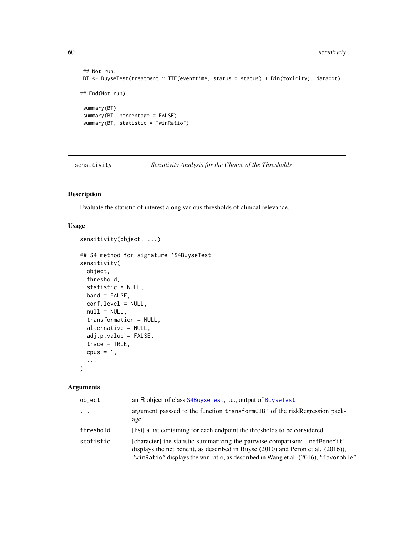```
## Not run:
BT <- BuyseTest(treatment ~ TTE(eventtime, status = status) + Bin(toxicity), data=dt)
## End(Not run)
summary(BT)
summary(BT, percentage = FALSE)
summary(BT, statistic = "winRatio")
```
sensitivity *Sensitivity Analysis for the Choice of the Thresholds*

### <span id="page-59-1"></span>Description

Evaluate the statistic of interest along various thresholds of clinical relevance.

### Usage

```
## S4 method for signature 'S4BuyseTest'
sensitivity(
 object,
 threshold,
 statistic = NULL,
 band = FALSE,conf.level = NULL,
 null = NULL,transformation = NULL,
 alternative = NULL,
 adj.p.value = FALSE,
 trace = TRUE,cpus = 1,...
\mathcal{L}
```
sensitivity(object, ...)

| object    | an R object of class S4BuyseTest, i.e., output of BuyseTest                                                                                                                                                                                                |
|-----------|------------------------------------------------------------------------------------------------------------------------------------------------------------------------------------------------------------------------------------------------------------|
| $\cdots$  | argument passsed to the function transformCIBP of the riskRegression pack-<br>age.                                                                                                                                                                         |
| threshold | [list] a list containing for each endpoint the thresholds to be considered.                                                                                                                                                                                |
| statistic | [character] the statistic summarizing the pairwise comparison: "netBenefit"<br>displays the net benefit, as described in Buyse $(2010)$ and Peron et al. $(2016)$ ),<br>"winRatio" displays the win ratio, as described in Wang et al. (2016), "favorable" |

<span id="page-59-0"></span>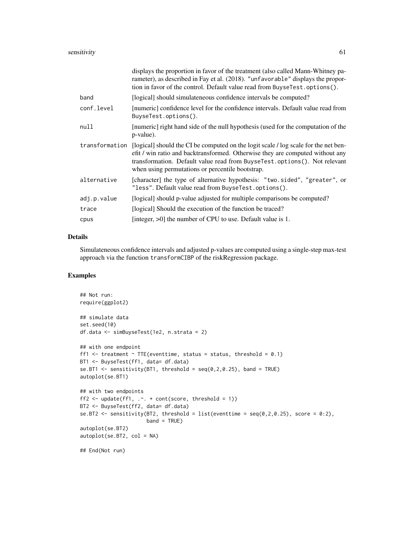|                | displays the proportion in favor of the treatment (also called Mann-Whitney pa-<br>rameter), as described in Fay et al. (2018). "unfavorable" displays the propor-<br>tion in favor of the control. Default value read from BuyseTest.options().                                                      |
|----------------|-------------------------------------------------------------------------------------------------------------------------------------------------------------------------------------------------------------------------------------------------------------------------------------------------------|
| band           | [logical] should simulate neous confidence intervals be computed?                                                                                                                                                                                                                                     |
| conf.level     | [numeric] confidence level for the confidence intervals. Default value read from<br>BuyseTest.options().                                                                                                                                                                                              |
| null           | [numeric] right hand side of the null hypothesis (used for the computation of the<br>p-value).                                                                                                                                                                                                        |
| transformation | [logical] should the CI be computed on the logit scale / log scale for the net ben-<br>efit / win ratio and backtransformed. Otherwise they are computed without any<br>transformation. Default value read from BuyseTest.options(). Not relevant<br>when using permutations or percentile bootstrap. |
| alternative    | [character] the type of alternative hypothesis: "two.sided", "greater", or<br>"less". Default value read from BuyseTest.options().                                                                                                                                                                    |
| adj.p.value    | [logical] should p-value adjusted for multiple comparisons be computed?                                                                                                                                                                                                                               |
| trace          | [logical] Should the execution of the function be traced?                                                                                                                                                                                                                                             |
| cpus           | [integer, $>0$ ] the number of CPU to use. Default value is 1.                                                                                                                                                                                                                                        |

### Details

Simulateneous confidence intervals and adjusted p-values are computed using a single-step max-test approach via the function transformCIBP of the riskRegression package.

### Examples

```
## Not run:
require(ggplot2)
## simulate data
set.seed(10)
df.data <- simBuyseTest(1e2, n.strata = 2)
## with one endpoint
ff1 \le treatment \sim TTE(eventtime, status = status, threshold = 0.1)
BT1 <- BuyseTest(ff1, data= df.data)
se.BT1 \le sensitivity(BT1, threshold = seq(0,2,0.25), band = TRUE)
autoplot(se.BT1)
## with two endpoints
ff2 <- update(ff1, \therefore + cont(score, threshold = 1))
BT2 <- BuyseTest(ff2, data= df.data)
se.BT2 <- sensitivity(BT2, threshold = list(eventtime = seq(0, 2, 0.25), score = 0:2),
                      band = TRUE)
autoplot(se.BT2)
autoplot(se.BT2, col = NA)
## End(Not run)
```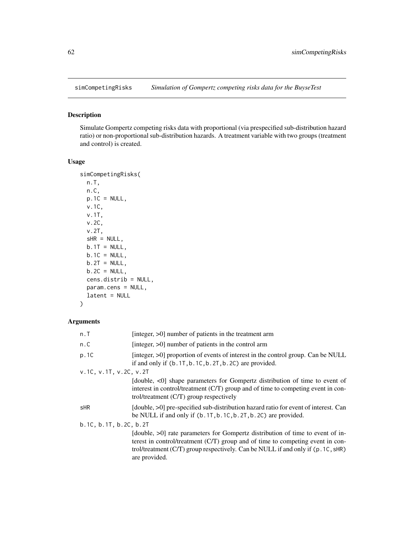<span id="page-61-0"></span>

### Description

Simulate Gompertz competing risks data with proportional (via prespecified sub-distribution hazard ratio) or non-proportional sub-distribution hazards. A treatment variable with two groups (treatment and control) is created.

#### Usage

```
simCompetingRisks(
 n.T,
 n.C,
 p.1C = NULL,v.1C,
 v.1T,
 v.2C,
 v.2T,
 SHR = NULL,b.1T = NULL,b.1C = NULL,b.2T = NULL,b.2C = NULL,cens.distrib = NULL,
 param.cens = NULL,
 latent = NULL
)
```

| n.T                    | [integer, $>0$ ] number of patients in the treatment arm                                                                                                                                                                                                              |
|------------------------|-----------------------------------------------------------------------------------------------------------------------------------------------------------------------------------------------------------------------------------------------------------------------|
| n.C                    | [integer, $>0$ ] number of patients in the control arm                                                                                                                                                                                                                |
| p.1C                   | [integer, >0] proportion of events of interest in the control group. Can be NULL<br>if and only if $(b.1T, b.1C, b.2T, b.2C)$ are provided.                                                                                                                           |
| v.1C, v.1T, v.2C, v.2T |                                                                                                                                                                                                                                                                       |
|                        | [double, $\langle 0 $ shape parameters for Gompertz distribution of time to event of<br>interest in control/treatment (C/T) group and of time to competing event in con-<br>trol/treatment $(C/T)$ group respectively                                                 |
| sHR                    | (double, >0) pre-specified sub-distribution hazard ratio for event of interest. Can<br>be NULL if and only if $(b.1T, b.1C, b.2T, b.2C)$ are provided.                                                                                                                |
| b.1C, b.1T, b.2C, b.2T |                                                                                                                                                                                                                                                                       |
|                        | (double, >0) rate parameters for Gompertz distribution of time to event of in-<br>terest in control/treatment (C/T) group and of time to competing event in con-<br>trol/treatment (C/T) group respectively. Can be NULL if and only if (p. 1C, sHR)<br>are provided. |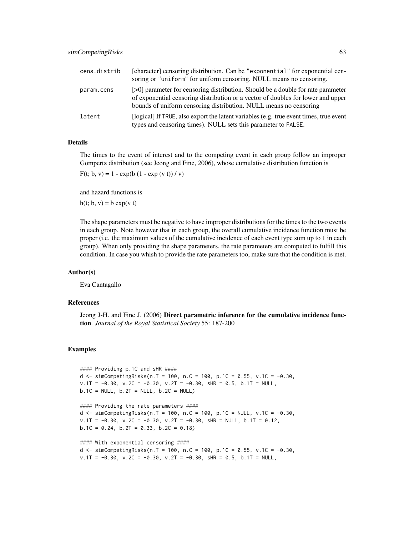| cens.distrib | [character] censoring distribution. Can be "exponential" for exponential cen-<br>soring or "uniform" for uniform censoring. NULL means no censoring.                                                                                                |
|--------------|-----------------------------------------------------------------------------------------------------------------------------------------------------------------------------------------------------------------------------------------------------|
| param.cens   | $\approx$ [>0] parameter for censoring distribution. Should be a double for rate parameter<br>of exponential censoring distribution or a vector of doubles for lower and upper<br>bounds of uniform censoring distribution. NULL means no censoring |
| latent       | [logical] If TRUE, also export the latent variables (e.g. true event times, true event<br>types and censoring times). NULL sets this parameter to FALSE.                                                                                            |

### Details

The times to the event of interest and to the competing event in each group follow an improper Gompertz distribution (see Jeong and Fine, 2006), whose cumulative distribution function is

 $F(t; b, v) = 1 - exp(b (1 - exp (v t))/v)$ 

and hazard functions is

h(t; b, v) = b  $exp(v t)$ 

The shape parameters must be negative to have improper distributions for the times to the two events in each group. Note however that in each group, the overall cumulative incidence function must be proper (i.e. the maximum values of the cumulative incidence of each event type sum up to 1 in each group). When only providing the shape parameters, the rate parameters are computed to fulfill this condition. In case you whish to provide the rate parameters too, make sure that the condition is met.

#### Author(s)

Eva Cantagallo

#### References

Jeong J-H. and Fine J. (2006) Direct parametric inference for the cumulative incidence function. *Journal of the Royal Statistical Society* 55: 187-200

#### Examples

```
#### Providing p.1C and sHR ####
d <- simCompetingRisks(n.T = 100, n.C = 100, p.1C = 0.55, v.1C = -0.30,
v.1T = -0.30, v.2C = -0.30, v.2T = -0.30, sHR = 0.5, b.1T = NULL,
b.1C = NULL, b.2T = NULL, b.2C = NULL
```
#### Providing the rate parameters #### d <- simCompetingRisks(n.T = 100, n.C = 100, p.1C = NULL, v.1C =  $-0.30$ ,  $v.1T = -0.30$ ,  $v.2C = -0.30$ ,  $v.2T = -0.30$ ,  $SHR = NULL$ ,  $b.1T = 0.12$ , b.1C =  $0.24$ , b.2T =  $0.33$ , b.2C =  $0.18$ )

```
#### With exponential censoring ####
d <- simCompetingRisks(n.T = 100, n.C = 100, p.1C = 0.55, v.1C = -0.30,
v.1T = -0.30, v.2C = -0.30, v.2T = -0.30, SHR = 0.5, b.1T = NULL,
```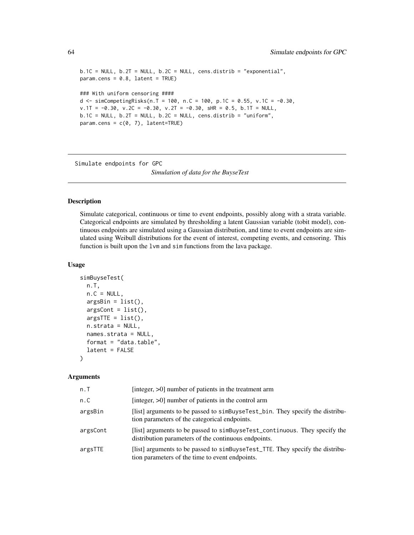```
b.1C = NULL, b.2T = NULL, b.2C = NULL, cens.distrib = "exponential",
param.cens = 0.8, latent = TRUE)### With uniform censoring ####
d <- simCompetingRisks(n.T = 100, n.C = 100, p.1C = 0.55, v.1C = -0.30,
v.1T = -0.30, v.2C = -0.30, v.2T = -0.30, SHR = 0.5, b.1T = NULL,
b.1C = NULL, b.2T = NULL, b.2C = NULL, cens.distrib = "uniform",
param.cens = c(0, 7), laterETRUE)
```
Simulate endpoints for GPC

*Simulation of data for the BuyseTest*

#### Description

Simulate categorical, continuous or time to event endpoints, possibly along with a strata variable. Categorical endpoints are simulated by thresholding a latent Gaussian variable (tobit model), continuous endpoints are simulated using a Gaussian distribution, and time to event endpoints are simulated using Weibull distributions for the event of interest, competing events, and censoring. This function is built upon the lvm and sim functions from the lava package.

### Usage

```
simBuyseTest(
 n.T,
 n.C = NULL,argsBin = list(),
  argsCont = list(),
  argsITE = list(),n.strata = NULL,
 names.strata = NULL,
  format = "data.table",
  latent = FALSE
)
```

| n.T      | [integer, $>0$ ] number of patients in the treatment arm                                                                           |
|----------|------------------------------------------------------------------------------------------------------------------------------------|
| n.C      | [integer, $>0$ ] number of patients in the control arm                                                                             |
| argsBin  | [list] arguments to be passed to simBuyseTest_bin. They specify the distribu-<br>tion parameters of the categorical endpoints.     |
| argsCont | [list] arguments to be passed to simBuyseTest_continuous. They specify the<br>distribution parameters of the continuous endpoints. |
| argsTTE  | [list] arguments to be passed to simbuy select_TTE. They specify the distribu-<br>tion parameters of the time to event endpoints.  |

<span id="page-63-0"></span>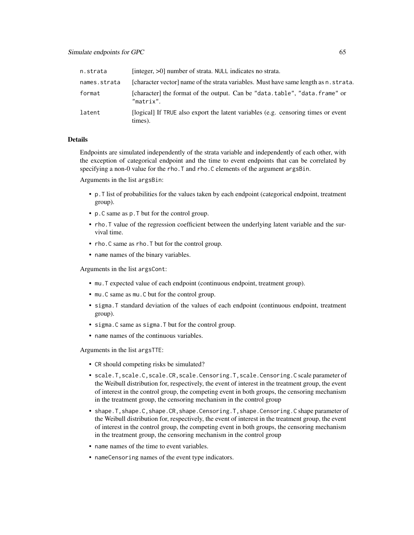| n.strata     | [integer, >0] number of strata. NULL indicates no strata.                                    |
|--------------|----------------------------------------------------------------------------------------------|
| names.strata | [character vector] name of the strata variables. Must have same length as n. strata.         |
| format       | [character] the format of the output. Can be "data.table", "data.frame" or<br>"matrix".      |
| latent       | [logical] If TRUE also export the latent variables (e.g. censoring times or event<br>times). |

#### Details

Endpoints are simulated independently of the strata variable and independently of each other, with the exception of categorical endpoint and the time to event endpoints that can be correlated by specifying a non-0 value for the rho. T and rho. C elements of the argument argsBin.

Arguments in the list argsBin:

- p.T list of probabilities for the values taken by each endpoint (categorical endpoint, treatment group).
- p.C same as p.T but for the control group.
- rho.T value of the regression coefficient between the underlying latent variable and the survival time.
- rho. C same as rho. T but for the control group.
- name names of the binary variables.

Arguments in the list argsCont:

- mu.T expected value of each endpoint (continuous endpoint, treatment group).
- mu.C same as mu.C but for the control group.
- sigma.T standard deviation of the values of each endpoint (continuous endpoint, treatment group).
- sigma.C same as sigma.T but for the control group.
- name names of the continuous variables.

Arguments in the list argsTTE:

- CR should competing risks be simulated?
- scale.T,scale.C,scale.CR,scale.Censoring.T,scale.Censoring.C scale parameter of the Weibull distribution for, respectively, the event of interest in the treatment group, the event of interest in the control group, the competing event in both groups, the censoring mechanism in the treatment group, the censoring mechanism in the control group
- shape.T,shape.C,shape.CR,shape.Censoring.T,shape.Censoring.C shape parameter of the Weibull distribution for, respectively, the event of interest in the treatment group, the event of interest in the control group, the competing event in both groups, the censoring mechanism in the treatment group, the censoring mechanism in the control group
- name names of the time to event variables.
- nameCensoring names of the event type indicators.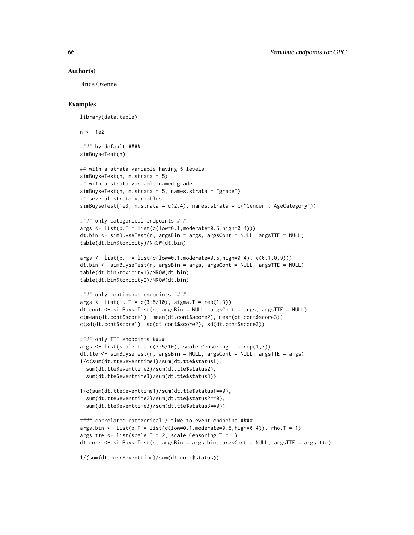#### Author(s)

Brice Ozenne

#### Examples

library(data.table)

 $n < -1e2$ 

#### by default #### simBuyseTest(n)

```
## with a strata variable having 5 levels
simBuyseTest(n, n.strata = 5)
## with a strata variable named grade
simBuyseTest(n, n.strata = 5, names.strata = "grade")
## several strata variables
simBuyseTest(1e3, n.strata = c(2,4), names.strata = c("Gender", "AgeCategory"))
```

```
#### only categorical endpoints ####
args \leftarrow list(p.T = list(c(low=0.1, moderate=0.5, high=0.4)))dt.bin <- simBuyseTest(n, argsBin = args, argsCont = NULL, argsTTE = NULL)
table(dt.bin$toxicity)/NROW(dt.bin)
```

```
args \leq list(p.T = list(c(low=0.1,moderate=0.5,high=0.4), c(0.1,0.9)))dt.bin <- simBuyseTest(n, argsBin = args, argsCont = NULL, argsTTE = NULL)
table(dt.bin$toxicity1)/NROW(dt.bin)
table(dt.bin$toxicity2)/NROW(dt.bin)
```

```
#### only continuous endpoints ####
args <- list(mu.T = c(3:5/10), sigma.T = rep(1,3))
dt.cont <- simBuyseTest(n, argsBin = NULL, argsCont = args, argsTTE = NULL)
c(mean(dt.cont$score1), mean(dt.cont$score2), mean(dt.cont$score3))
c(sd(dt.cont$score1), sd(dt.cont$score2), sd(dt.cont$score3))
```

```
#### only TTE endpoints ####
args \le list(scale.T = c(3:5/10), scale.Censoring.T = rep(1,3))
dt.tte <- simBuyseTest(n, argsBin = NULL, argsCont = NULL, argsTTE = args)
1/c(sum(dt.tte$eventtime1)/sum(dt.tte$status1),
 sum(dt.tte$eventtime2)/sum(dt.tte$status2),
 sum(dt.tte$eventtime3)/sum(dt.tte$status3))
```

```
1/c(sum(dt.tte$eventtime1)/sum(dt.tte$status1==0),
 sum(dt.tte$eventtime2)/sum(dt.tte$status2==0),
 sum(dt.tte$eventtime3)/sum(dt.tte$status3==0))
```

```
#### correlated categorical / time to event endpoint ####
args. \text{bin} < -\text{list}(p.T = \text{list}(c(\text{low=0.1}, \text{moderate=0.5}, \text{high=0.4})), \text{rho.T = 1})args. tte \leftarrow list(scale.T = 2, scale.Censoring.T = 1)dt.corr <- simBuyseTest(n, argsBin = args.bin, argsCont = NULL, argsTTE = args.tte)
```

```
1/(sum(dt.corr$eventtime)/sum(dt.corr$status))
```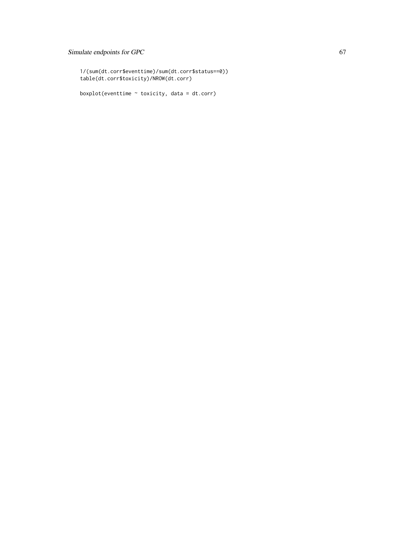### Simulate endpoints for GPC 67

```
1/(sum(dt.corr$eventtime)/sum(dt.corr$status==0))
table(dt.corr$toxicity)/NROW(dt.corr)
```
boxplot(eventtime  $\sim$  toxicity, data = dt.corr)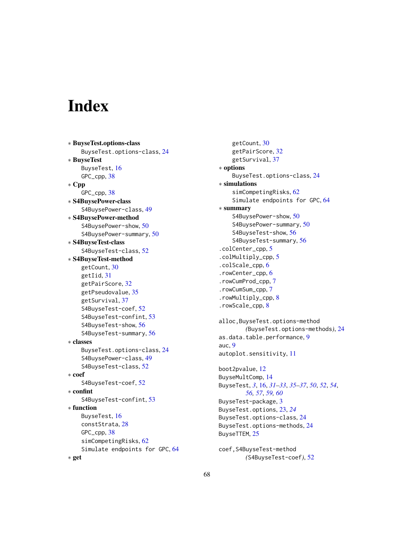# <span id="page-67-0"></span>**Index**

∗ BuyseTest.options-class BuyseTest.options-class, [24](#page-23-0) ∗ BuyseTest BuyseTest, [16](#page-15-0) GPC\_cpp, [38](#page-37-0) ∗ Cpp GPC\_cpp, [38](#page-37-0) ∗ S4BuysePower-class S4BuysePower-class, [49](#page-48-0) ∗ S4BuysePower-method S4BuysePower-show, [50](#page-49-0) S4BuysePower-summary, [50](#page-49-0) ∗ S4BuyseTest-class S4BuyseTest-class, [52](#page-51-0) ∗ S4BuyseTest-method getCount, [30](#page-29-0) getIid, [31](#page-30-0) getPairScore, [32](#page-31-0) getPseudovalue, [35](#page-34-0) getSurvival, [37](#page-36-0) S4BuyseTest-coef, [52](#page-51-0) S4BuyseTest-confint, [53](#page-52-0) S4BuyseTest-show, [56](#page-55-0) S4BuyseTest-summary, [56](#page-55-0) ∗ classes BuyseTest.options-class, [24](#page-23-0) S4BuysePower-class, [49](#page-48-0) S4BuyseTest-class, [52](#page-51-0) ∗ coef S4BuyseTest-coef, [52](#page-51-0) ∗ confint S4BuyseTest-confint, [53](#page-52-0) ∗ function BuyseTest, [16](#page-15-0) constStrata, [28](#page-27-0) GPC\_cpp, [38](#page-37-0) simCompetingRisks, [62](#page-61-0) Simulate endpoints for GPC, [64](#page-63-0) ∗ get

getCount, [30](#page-29-0) getPairScore, [32](#page-31-0) getSurvival, [37](#page-36-0) ∗ options BuyseTest.options-class, [24](#page-23-0) ∗ simulations simCompetingRisks, [62](#page-61-0) Simulate endpoints for GPC, [64](#page-63-0) ∗ summary S4BuysePower-show, [50](#page-49-0) S4BuysePower-summary, [50](#page-49-0) S4BuyseTest-show, [56](#page-55-0) S4BuyseTest-summary, [56](#page-55-0) .colCenter\_cpp, [5](#page-4-0) .colMultiply\_cpp, [5](#page-4-0) .colScale\_cpp, [6](#page-5-0) .rowCenter\_cpp, [6](#page-5-0) .rowCumProd\_cpp, [7](#page-6-0) .rowCumSum\_cpp, [7](#page-6-0) .rowMultiply\_cpp, [8](#page-7-0) .rowScale\_cpp, [8](#page-7-0) alloc,BuyseTest.options-method

*(*BuyseTest.options-methods*)*, [24](#page-23-0) as.data.table.performance, [9](#page-8-0) auc, [9](#page-8-0) autoplot.sensitivity, [11](#page-10-0)

```
boot2pvalue, 12
BuyseMultComp, 14
BuyseTest, 3, 16, 31–33, 35–37, 50, 52, 54,
        56, 57, 59, 60
BuyseTest-package, 3
BuyseTest.options, 23, 24
BuyseTest.options-class, 24
BuyseTest.options-methods, 24
BuyseTTEM, 25
```

```
coef,S4BuyseTest-method
        (S4BuyseTest-coef), 52
```